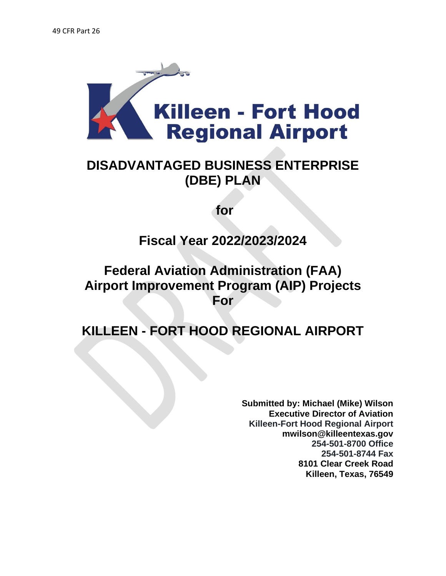

# **DISADVANTAGED BUSINESS ENTERPRISE (DBE) PLAN**

**for** 

**Fiscal Year 2022/2023/2024**

# **Federal Aviation Administration (FAA) Airport Improvement Program (AIP) Projects For**

**KILLEEN - FORT HOOD REGIONAL AIRPORT** 

**Submitted by: Michael (Mike) Wilson Executive Director of Aviation Killeen-Fort Hood Regional Airport mwilson@killeentexas.gov 254-501-8700 Office 254-501-8744 Fax 8101 Clear Creek Road Killeen, Texas, 76549**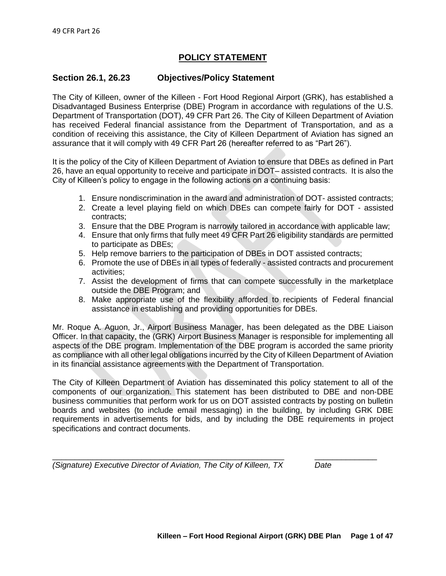## **POLICY STATEMENT**

#### **Section 26.1, 26.23 Objectives/Policy Statement**

The City of Killeen, owner of the Killeen - Fort Hood Regional Airport (GRK), has established a Disadvantaged Business Enterprise (DBE) Program in accordance with regulations of the U.S. Department of Transportation (DOT), 49 CFR Part 26. The City of Killeen Department of Aviation has received Federal financial assistance from the Department of Transportation, and as a condition of receiving this assistance, the City of Killeen Department of Aviation has signed an assurance that it will comply with 49 CFR Part 26 (hereafter referred to as "Part 26").

It is the policy of the City of Killeen Department of Aviation to ensure that DBEs as defined in Part 26, have an equal opportunity to receive and participate in DOT– assisted contracts. It is also the City of Killeen's policy to engage in the following actions on a continuing basis:

- 1. Ensure nondiscrimination in the award and administration of DOT- assisted contracts;
- 2. Create a level playing field on which DBEs can compete fairly for DOT assisted contracts;
- 3. Ensure that the DBE Program is narrowly tailored in accordance with applicable law;
- 4. Ensure that only firms that fully meet 49 CFR Part 26 eligibility standards are permitted to participate as DBEs;
- 5. Help remove barriers to the participation of DBEs in DOT assisted contracts;
- 6. Promote the use of DBEs in all types of federally assisted contracts and procurement activities;
- 7. Assist the development of firms that can compete successfully in the marketplace outside the DBE Program; and
- 8. Make appropriate use of the flexibility afforded to recipients of Federal financial assistance in establishing and providing opportunities for DBEs.

Mr. Roque A. Aguon, Jr., Airport Business Manager, has been delegated as the DBE Liaison Officer. In that capacity, the (GRK) Airport Business Manager is responsible for implementing all aspects of the DBE program. Implementation of the DBE program is accorded the same priority as compliance with all other legal obligations incurred by the City of Killeen Department of Aviation in its financial assistance agreements with the Department of Transportation.

The City of Killeen Department of Aviation has disseminated this policy statement to all of the components of our organization. This statement has been distributed to DBE and non-DBE business communities that perform work for us on DOT assisted contracts by posting on bulletin boards and websites (to include email messaging) in the building, by including GRK DBE requirements in advertisements for bids, and by including the DBE requirements in project specifications and contract documents.

\_\_\_\_\_\_\_\_\_\_\_\_\_\_\_\_\_\_\_\_\_\_\_\_\_\_\_\_\_\_\_\_\_\_\_\_\_\_\_\_\_\_\_\_\_\_\_\_\_\_\_\_ \_\_\_\_\_\_\_\_\_\_\_\_\_\_

*(Signature) Executive Director of Aviation, The City of Killeen, TX Date*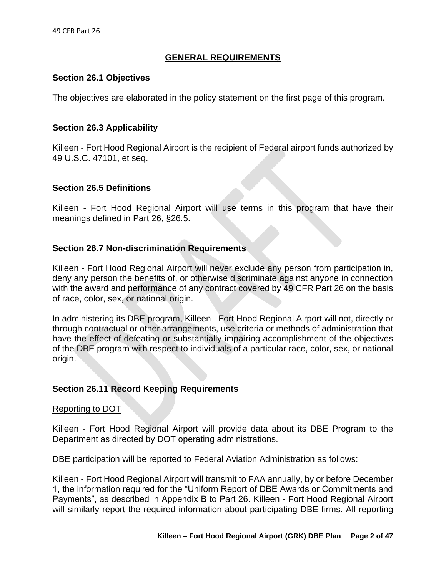## **GENERAL REQUIREMENTS**

### **Section 26.1 Objectives**

The objectives are elaborated in the policy statement on the first page of this program.

#### **Section 26.3 Applicability**

Killeen - Fort Hood Regional Airport is the recipient of Federal airport funds authorized by 49 U.S.C. 47101, et seq.

#### **Section 26.5 Definitions**

Killeen - Fort Hood Regional Airport will use terms in this program that have their meanings defined in Part 26, §26.5.

### **Section 26.7 Non-discrimination Requirements**

Killeen - Fort Hood Regional Airport will never exclude any person from participation in, deny any person the benefits of, or otherwise discriminate against anyone in connection with the award and performance of any contract covered by 49 CFR Part 26 on the basis of race, color, sex, or national origin.

In administering its DBE program, Killeen - Fort Hood Regional Airport will not, directly or through contractual or other arrangements, use criteria or methods of administration that have the effect of defeating or substantially impairing accomplishment of the objectives of the DBE program with respect to individuals of a particular race, color, sex, or national origin.

### **Section 26.11 Record Keeping Requirements**

#### Reporting to DOT

Killeen - Fort Hood Regional Airport will provide data about its DBE Program to the Department as directed by DOT operating administrations.

DBE participation will be reported to Federal Aviation Administration as follows:

Killeen - Fort Hood Regional Airport will transmit to FAA annually, by or before December 1, the information required for the "Uniform Report of DBE Awards or Commitments and Payments", as described in Appendix B to Part 26. Killeen - Fort Hood Regional Airport will similarly report the required information about participating DBE firms. All reporting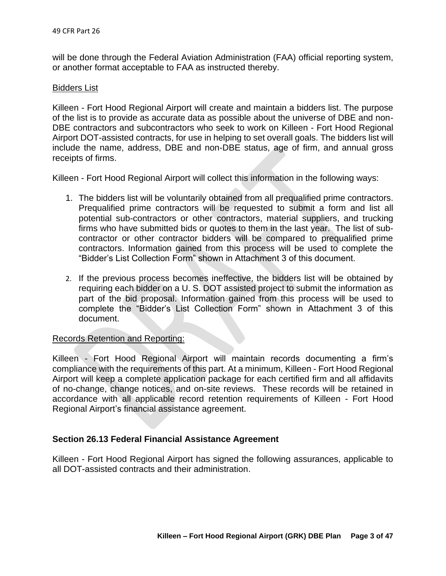will be done through the Federal Aviation Administration (FAA) official reporting system, or another format acceptable to FAA as instructed thereby.

#### Bidders List

Killeen - Fort Hood Regional Airport will create and maintain a bidders list. The purpose of the list is to provide as accurate data as possible about the universe of DBE and non-DBE contractors and subcontractors who seek to work on Killeen - Fort Hood Regional Airport DOT-assisted contracts, for use in helping to set overall goals. The bidders list will include the name, address, DBE and non-DBE status, age of firm, and annual gross receipts of firms.

Killeen - Fort Hood Regional Airport will collect this information in the following ways:

- 1. The bidders list will be voluntarily obtained from all prequalified prime contractors. Prequalified prime contractors will be requested to submit a form and list all potential sub-contractors or other contractors, material suppliers, and trucking firms who have submitted bids or quotes to them in the last year. The list of subcontractor or other contractor bidders will be compared to prequalified prime contractors. Information gained from this process will be used to complete the "Bidder's List Collection Form" shown in Attachment 3 of this document.
- 2. If the previous process becomes ineffective, the bidders list will be obtained by requiring each bidder on a U. S. DOT assisted project to submit the information as part of the bid proposal. Information gained from this process will be used to complete the "Bidder's List Collection Form" shown in Attachment 3 of this document.

### Records Retention and Reporting:

Killeen - Fort Hood Regional Airport will maintain records documenting a firm's compliance with the requirements of this part. At a minimum, Killeen - Fort Hood Regional Airport will keep a complete application package for each certified firm and all affidavits of no-change, change notices, and on-site reviews. These records will be retained in accordance with all applicable record retention requirements of Killeen - Fort Hood Regional Airport's financial assistance agreement.

## **Section 26.13 Federal Financial Assistance Agreement**

Killeen - Fort Hood Regional Airport has signed the following assurances, applicable to all DOT-assisted contracts and their administration.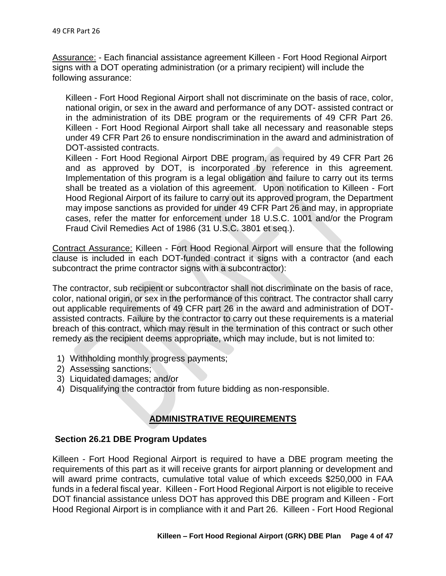Assurance: - Each financial assistance agreement Killeen - Fort Hood Regional Airport signs with a DOT operating administration (or a primary recipient) will include the following assurance:

Killeen - Fort Hood Regional Airport shall not discriminate on the basis of race, color, national origin, or sex in the award and performance of any DOT- assisted contract or in the administration of its DBE program or the requirements of 49 CFR Part 26. Killeen - Fort Hood Regional Airport shall take all necessary and reasonable steps under 49 CFR Part 26 to ensure nondiscrimination in the award and administration of DOT-assisted contracts.

Killeen - Fort Hood Regional Airport DBE program, as required by 49 CFR Part 26 and as approved by DOT, is incorporated by reference in this agreement. Implementation of this program is a legal obligation and failure to carry out its terms shall be treated as a violation of this agreement. Upon notification to Killeen - Fort Hood Regional Airport of its failure to carry out its approved program, the Department may impose sanctions as provided for under 49 CFR Part 26 and may, in appropriate cases, refer the matter for enforcement under 18 U.S.C. 1001 and/or the Program Fraud Civil Remedies Act of 1986 (31 U.S.C. 3801 et seq.).

Contract Assurance: Killeen - Fort Hood Regional Airport will ensure that the following clause is included in each DOT-funded contract it signs with a contractor (and each subcontract the prime contractor signs with a subcontractor):

The contractor, sub recipient or subcontractor shall not discriminate on the basis of race, color, national origin, or sex in the performance of this contract. The contractor shall carry out applicable requirements of 49 CFR part 26 in the award and administration of DOTassisted contracts. Failure by the contractor to carry out these requirements is a material breach of this contract, which may result in the termination of this contract or such other remedy as the recipient deems appropriate, which may include, but is not limited to:

- 1) Withholding monthly progress payments;
- 2) Assessing sanctions;
- 3) Liquidated damages; and/or
- 4) Disqualifying the contractor from future bidding as non-responsible.

## **ADMINISTRATIVE REQUIREMENTS**

## **Section 26.21 DBE Program Updates**

Killeen - Fort Hood Regional Airport is required to have a DBE program meeting the requirements of this part as it will receive grants for airport planning or development and will award prime contracts, cumulative total value of which exceeds \$250,000 in FAA funds in a federal fiscal year. Killeen - Fort Hood Regional Airport is not eligible to receive DOT financial assistance unless DOT has approved this DBE program and Killeen - Fort Hood Regional Airport is in compliance with it and Part 26. Killeen - Fort Hood Regional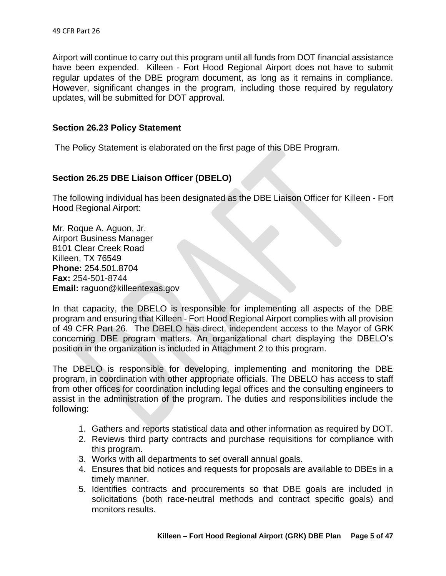Airport will continue to carry out this program until all funds from DOT financial assistance have been expended. Killeen - Fort Hood Regional Airport does not have to submit regular updates of the DBE program document, as long as it remains in compliance. However, significant changes in the program, including those required by regulatory updates, will be submitted for DOT approval.

## **Section 26.23 Policy Statement**

The Policy Statement is elaborated on the first page of this DBE Program.

## **Section 26.25 DBE Liaison Officer (DBELO)**

The following individual has been designated as the DBE Liaison Officer for Killeen - Fort Hood Regional Airport:

Mr. Roque A. Aguon, Jr. Airport Business Manager 8101 Clear Creek Road Killeen, TX 76549 **Phone:** 254.501.8704 **Fax:** 254-501-8744 **Email:** raguon@killeentexas.gov

In that capacity, the DBELO is responsible for implementing all aspects of the DBE program and ensuring that Killeen - Fort Hood Regional Airport complies with all provision of 49 CFR Part 26. The DBELO has direct, independent access to the Mayor of GRK concerning DBE program matters. An organizational chart displaying the DBELO's position in the organization is included in Attachment 2 to this program.

The DBELO is responsible for developing, implementing and monitoring the DBE program, in coordination with other appropriate officials. The DBELO has access to staff from other offices for coordination including legal offices and the consulting engineers to assist in the administration of the program. The duties and responsibilities include the following:

- 1. Gathers and reports statistical data and other information as required by DOT.
- 2. Reviews third party contracts and purchase requisitions for compliance with this program.
- 3. Works with all departments to set overall annual goals.
- 4. Ensures that bid notices and requests for proposals are available to DBEs in a timely manner.
- 5. Identifies contracts and procurements so that DBE goals are included in solicitations (both race-neutral methods and contract specific goals) and monitors results.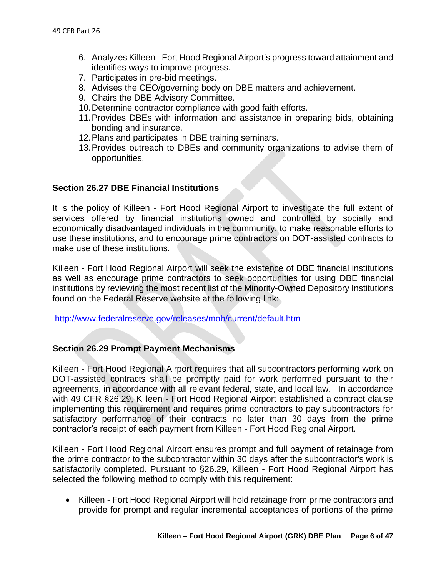- 6. Analyzes Killeen Fort Hood Regional Airport's progress toward attainment and identifies ways to improve progress.
- 7. Participates in pre-bid meetings.
- 8. Advises the CEO/governing body on DBE matters and achievement.
- 9. Chairs the DBE Advisory Committee.
- 10.Determine contractor compliance with good faith efforts.
- 11.Provides DBEs with information and assistance in preparing bids, obtaining bonding and insurance.
- 12.Plans and participates in DBE training seminars.
- 13.Provides outreach to DBEs and community organizations to advise them of opportunities.

## **Section 26.27 DBE Financial Institutions**

It is the policy of Killeen - Fort Hood Regional Airport to investigate the full extent of services offered by financial institutions owned and controlled by socially and economically disadvantaged individuals in the community, to make reasonable efforts to use these institutions, and to encourage prime contractors on DOT-assisted contracts to make use of these institutions.

Killeen - Fort Hood Regional Airport will seek the existence of DBE financial institutions as well as encourage prime contractors to seek opportunities for using DBE financial institutions by reviewing the most recent list of the Minority-Owned Depository Institutions found on the Federal Reserve website at the following link:

<http://www.federalreserve.gov/releases/mob/current/default.htm>

## **Section 26.29 Prompt Payment Mechanisms**

Killeen - Fort Hood Regional Airport requires that all subcontractors performing work on DOT-assisted contracts shall be promptly paid for work performed pursuant to their agreements, in accordance with all relevant federal, state, and local law. In accordance with 49 CFR §26.29, Killeen - Fort Hood Regional Airport established a contract clause implementing this requirement and requires prime contractors to pay subcontractors for satisfactory performance of their contracts no later than 30 days from the prime contractor's receipt of each payment from Killeen - Fort Hood Regional Airport.

Killeen - Fort Hood Regional Airport ensures prompt and full payment of retainage from the prime contractor to the subcontractor within 30 days after the subcontractor's work is satisfactorily completed. Pursuant to §26.29, Killeen - Fort Hood Regional Airport has selected the following method to comply with this requirement:

• Killeen - Fort Hood Regional Airport will hold retainage from prime contractors and provide for prompt and regular incremental acceptances of portions of the prime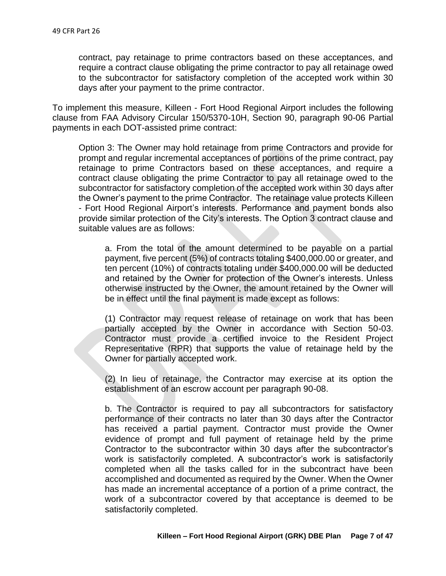contract, pay retainage to prime contractors based on these acceptances, and require a contract clause obligating the prime contractor to pay all retainage owed to the subcontractor for satisfactory completion of the accepted work within 30 days after your payment to the prime contractor.

To implement this measure, Killeen - Fort Hood Regional Airport includes the following clause from FAA Advisory Circular 150/5370-10H, Section 90, paragraph 90-06 Partial payments in each DOT-assisted prime contract:

Option 3: The Owner may hold retainage from prime Contractors and provide for prompt and regular incremental acceptances of portions of the prime contract, pay retainage to prime Contractors based on these acceptances, and require a contract clause obligating the prime Contractor to pay all retainage owed to the subcontractor for satisfactory completion of the accepted work within 30 days after the Owner's payment to the prime Contractor. The retainage value protects Killeen - Fort Hood Regional Airport's interests. Performance and payment bonds also provide similar protection of the City's interests. The Option 3 contract clause and suitable values are as follows:

a. From the total of the amount determined to be payable on a partial payment, five percent (5%) of contracts totaling \$400,000.00 or greater, and ten percent (10%) of contracts totaling under \$400,000.00 will be deducted and retained by the Owner for protection of the Owner's interests. Unless otherwise instructed by the Owner, the amount retained by the Owner will be in effect until the final payment is made except as follows:

(1) Contractor may request release of retainage on work that has been partially accepted by the Owner in accordance with Section 50-03. Contractor must provide a certified invoice to the Resident Project Representative (RPR) that supports the value of retainage held by the Owner for partially accepted work.

(2) In lieu of retainage, the Contractor may exercise at its option the establishment of an escrow account per paragraph 90-08.

b. The Contractor is required to pay all subcontractors for satisfactory performance of their contracts no later than 30 days after the Contractor has received a partial payment. Contractor must provide the Owner evidence of prompt and full payment of retainage held by the prime Contractor to the subcontractor within 30 days after the subcontractor's work is satisfactorily completed. A subcontractor's work is satisfactorily completed when all the tasks called for in the subcontract have been accomplished and documented as required by the Owner. When the Owner has made an incremental acceptance of a portion of a prime contract, the work of a subcontractor covered by that acceptance is deemed to be satisfactorily completed.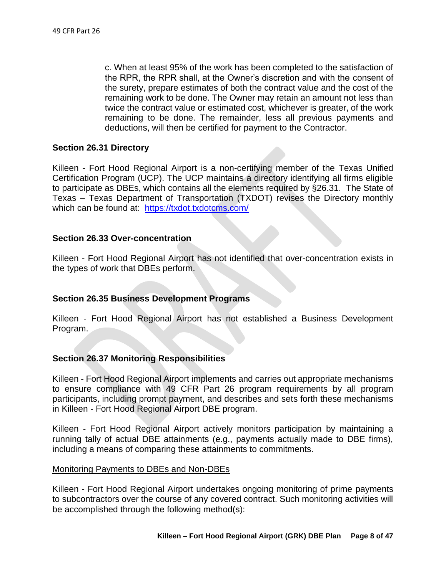c. When at least 95% of the work has been completed to the satisfaction of the RPR, the RPR shall, at the Owner's discretion and with the consent of the surety, prepare estimates of both the contract value and the cost of the remaining work to be done. The Owner may retain an amount not less than twice the contract value or estimated cost, whichever is greater, of the work remaining to be done. The remainder, less all previous payments and deductions, will then be certified for payment to the Contractor.

### **Section 26.31 Directory**

Killeen - Fort Hood Regional Airport is a non-certifying member of the Texas Unified Certification Program (UCP). The UCP maintains a directory identifying all firms eligible to participate as DBEs, which contains all the elements required by §26.31. The State of Texas – Texas Department of Transportation (TXDOT) revises the Directory monthly which can be found at: <https://txdot.txdotcms.com/>

#### **Section 26.33 Over-concentration**

Killeen - Fort Hood Regional Airport has not identified that over-concentration exists in the types of work that DBEs perform.

## **Section 26.35 Business Development Programs**

Killeen - Fort Hood Regional Airport has not established a Business Development Program.

### **Section 26.37 Monitoring Responsibilities**

Killeen - Fort Hood Regional Airport implements and carries out appropriate mechanisms to ensure compliance with 49 CFR Part 26 program requirements by all program participants, including prompt payment, and describes and sets forth these mechanisms in Killeen - Fort Hood Regional Airport DBE program.

Killeen - Fort Hood Regional Airport actively monitors participation by maintaining a running tally of actual DBE attainments (e.g., payments actually made to DBE firms), including a means of comparing these attainments to commitments.

#### Monitoring Payments to DBEs and Non-DBEs

Killeen - Fort Hood Regional Airport undertakes ongoing monitoring of prime payments to subcontractors over the course of any covered contract. Such monitoring activities will be accomplished through the following method(s):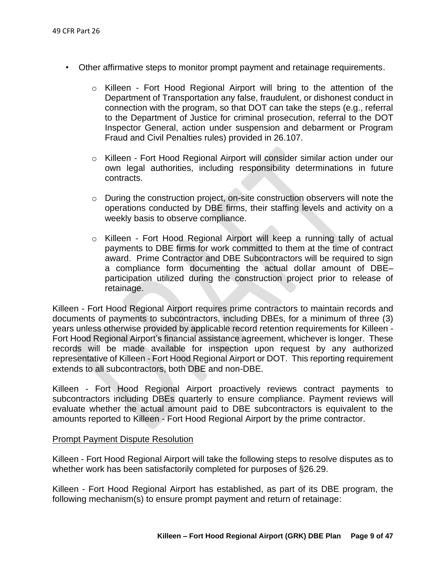- Other affirmative steps to monitor prompt payment and retainage requirements.
	- o Killeen Fort Hood Regional Airport will bring to the attention of the Department of Transportation any false, fraudulent, or dishonest conduct in connection with the program, so that DOT can take the steps (e.g., referral to the Department of Justice for criminal prosecution, referral to the DOT Inspector General, action under suspension and debarment or Program Fraud and Civil Penalties rules) provided in 26.107.
	- o Killeen Fort Hood Regional Airport will consider similar action under our own legal authorities, including responsibility determinations in future contracts.
	- o During the construction project, on-site construction observers will note the operations conducted by DBE firms, their staffing levels and activity on a weekly basis to observe compliance.
	- o Killeen Fort Hood Regional Airport will keep a running tally of actual payments to DBE firms for work committed to them at the time of contract award. Prime Contractor and DBE Subcontractors will be required to sign a compliance form documenting the actual dollar amount of DBE– participation utilized during the construction project prior to release of retainage.

Killeen - Fort Hood Regional Airport requires prime contractors to maintain records and documents of payments to subcontractors, including DBEs, for a minimum of three (3) years unless otherwise provided by applicable record retention requirements for Killeen - Fort Hood Regional Airport's financial assistance agreement, whichever is longer. These records will be made available for inspection upon request by any authorized representative of Killeen - Fort Hood Regional Airport or DOT. This reporting requirement extends to all subcontractors, both DBE and non-DBE.

Killeen - Fort Hood Regional Airport proactively reviews contract payments to subcontractors including DBEs quarterly to ensure compliance. Payment reviews will evaluate whether the actual amount paid to DBE subcontractors is equivalent to the amounts reported to Killeen - Fort Hood Regional Airport by the prime contractor.

#### Prompt Payment Dispute Resolution

Killeen - Fort Hood Regional Airport will take the following steps to resolve disputes as to whether work has been satisfactorily completed for purposes of §26.29.

Killeen - Fort Hood Regional Airport has established, as part of its DBE program, the following mechanism(s) to ensure prompt payment and return of retainage: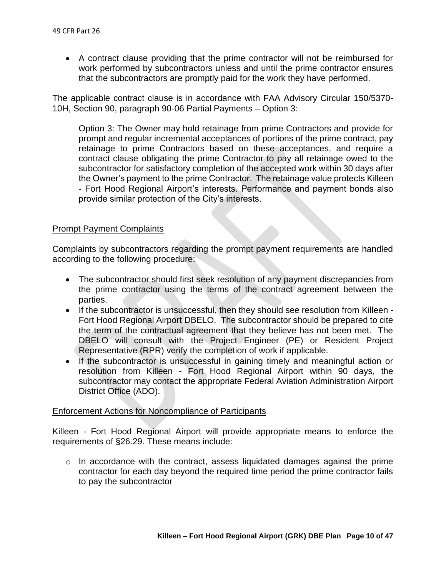• A contract clause providing that the prime contractor will not be reimbursed for work performed by subcontractors unless and until the prime contractor ensures that the subcontractors are promptly paid for the work they have performed.

The applicable contract clause is in accordance with FAA Advisory Circular 150/5370- 10H, Section 90, paragraph 90-06 Partial Payments – Option 3:

Option 3: The Owner may hold retainage from prime Contractors and provide for prompt and regular incremental acceptances of portions of the prime contract, pay retainage to prime Contractors based on these acceptances, and require a contract clause obligating the prime Contractor to pay all retainage owed to the subcontractor for satisfactory completion of the accepted work within 30 days after the Owner's payment to the prime Contractor. The retainage value protects Killeen - Fort Hood Regional Airport's interests. Performance and payment bonds also provide similar protection of the City's interests.

### Prompt Payment Complaints

Complaints by subcontractors regarding the prompt payment requirements are handled according to the following procedure:

- The subcontractor should first seek resolution of any payment discrepancies from the prime contractor using the terms of the contract agreement between the parties.
- If the subcontractor is unsuccessful, then they should see resolution from Killeen Fort Hood Regional Airport DBELO. The subcontractor should be prepared to cite the term of the contractual agreement that they believe has not been met. The DBELO will consult with the Project Engineer (PE) or Resident Project Representative (RPR) verify the completion of work if applicable.
- If the subcontractor is unsuccessful in gaining timely and meaningful action or resolution from Killeen - Fort Hood Regional Airport within 90 days, the subcontractor may contact the appropriate Federal Aviation Administration Airport District Office (ADO).

#### Enforcement Actions for Noncompliance of Participants

Killeen - Fort Hood Regional Airport will provide appropriate means to enforce the requirements of §26.29. These means include:

 $\circ$  In accordance with the contract, assess liquidated damages against the prime contractor for each day beyond the required time period the prime contractor fails to pay the subcontractor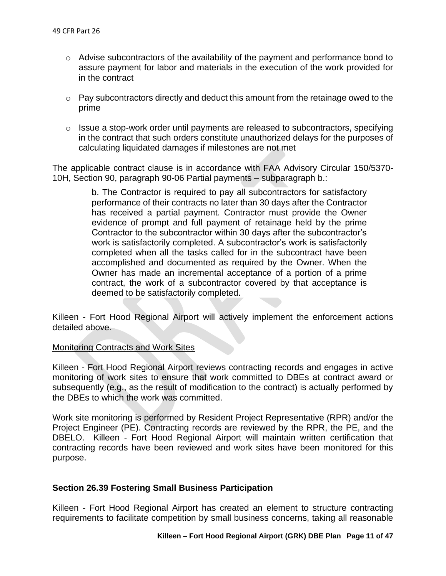- $\circ$  Advise subcontractors of the availability of the payment and performance bond to assure payment for labor and materials in the execution of the work provided for in the contract
- $\circ$  Pay subcontractors directly and deduct this amount from the retainage owed to the prime
- o Issue a stop-work order until payments are released to subcontractors, specifying in the contract that such orders constitute unauthorized delays for the purposes of calculating liquidated damages if milestones are not met

The applicable contract clause is in accordance with FAA Advisory Circular 150/5370- 10H, Section 90, paragraph 90-06 Partial payments – subparagraph b.:

> b. The Contractor is required to pay all subcontractors for satisfactory performance of their contracts no later than 30 days after the Contractor has received a partial payment. Contractor must provide the Owner evidence of prompt and full payment of retainage held by the prime Contractor to the subcontractor within 30 days after the subcontractor's work is satisfactorily completed. A subcontractor's work is satisfactorily completed when all the tasks called for in the subcontract have been accomplished and documented as required by the Owner. When the Owner has made an incremental acceptance of a portion of a prime contract, the work of a subcontractor covered by that acceptance is deemed to be satisfactorily completed.

Killeen - Fort Hood Regional Airport will actively implement the enforcement actions detailed above.

### Monitoring Contracts and Work Sites

Killeen - Fort Hood Regional Airport reviews contracting records and engages in active monitoring of work sites to ensure that work committed to DBEs at contract award or subsequently (e.g., as the result of modification to the contract) is actually performed by the DBEs to which the work was committed.

Work site monitoring is performed by Resident Project Representative (RPR) and/or the Project Engineer (PE). Contracting records are reviewed by the RPR, the PE, and the DBELO. Killeen - Fort Hood Regional Airport will maintain written certification that contracting records have been reviewed and work sites have been monitored for this purpose.

### **Section 26.39 Fostering Small Business Participation**

Killeen - Fort Hood Regional Airport has created an element to structure contracting requirements to facilitate competition by small business concerns, taking all reasonable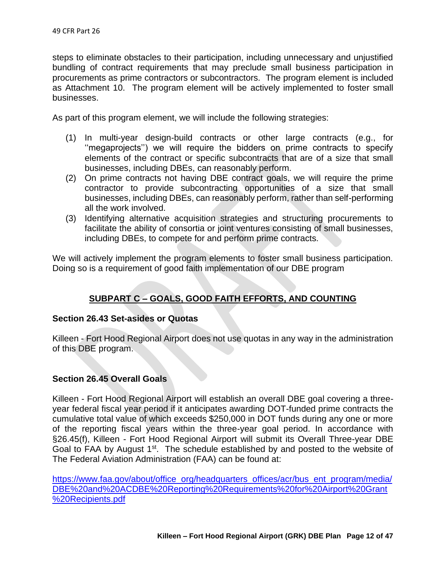steps to eliminate obstacles to their participation, including unnecessary and unjustified bundling of contract requirements that may preclude small business participation in procurements as prime contractors or subcontractors. The program element is included as Attachment 10. The program element will be actively implemented to foster small businesses.

As part of this program element, we will include the following strategies:

- (1) In multi-year design-build contracts or other large contracts (e.g., for ''megaprojects'') we will require the bidders on prime contracts to specify elements of the contract or specific subcontracts that are of a size that small businesses, including DBEs, can reasonably perform.
- (2) On prime contracts not having DBE contract goals, we will require the prime contractor to provide subcontracting opportunities of a size that small businesses, including DBEs, can reasonably perform, rather than self-performing all the work involved.
- (3) Identifying alternative acquisition strategies and structuring procurements to facilitate the ability of consortia or joint ventures consisting of small businesses, including DBEs, to compete for and perform prime contracts.

We will actively implement the program elements to foster small business participation. Doing so is a requirement of good faith implementation of our DBE program

## **SUBPART C – GOALS, GOOD FAITH EFFORTS, AND COUNTING**

## **Section 26.43 Set-asides or Quotas**

Killeen - Fort Hood Regional Airport does not use quotas in any way in the administration of this DBE program.

### **Section 26.45 Overall Goals**

Killeen - Fort Hood Regional Airport will establish an overall DBE goal covering a threeyear federal fiscal year period if it anticipates awarding DOT-funded prime contracts the cumulative total value of which exceeds \$250,000 in DOT funds during any one or more of the reporting fiscal years within the three-year goal period. In accordance with §26.45(f), Killeen - Fort Hood Regional Airport will submit its Overall Three-year DBE Goal to FAA by August 1<sup>st</sup>. The schedule established by and posted to the website of The Federal Aviation Administration (FAA) can be found at:

[https://www.faa.gov/about/office\\_org/headquarters\\_offices/acr/bus\\_ent\\_program/media/](https://www.faa.gov/about/office_org/headquarters_offices/acr/bus_ent_program/media/DBE%20and%20ACDBE%20Reporting%20Requirements%20for%20Airport%20Grant%20Recipients.pdf) [DBE%20and%20ACDBE%20Reporting%20Requirements%20for%20Airport%20Grant](https://www.faa.gov/about/office_org/headquarters_offices/acr/bus_ent_program/media/DBE%20and%20ACDBE%20Reporting%20Requirements%20for%20Airport%20Grant%20Recipients.pdf) [%20Recipients.pdf](https://www.faa.gov/about/office_org/headquarters_offices/acr/bus_ent_program/media/DBE%20and%20ACDBE%20Reporting%20Requirements%20for%20Airport%20Grant%20Recipients.pdf)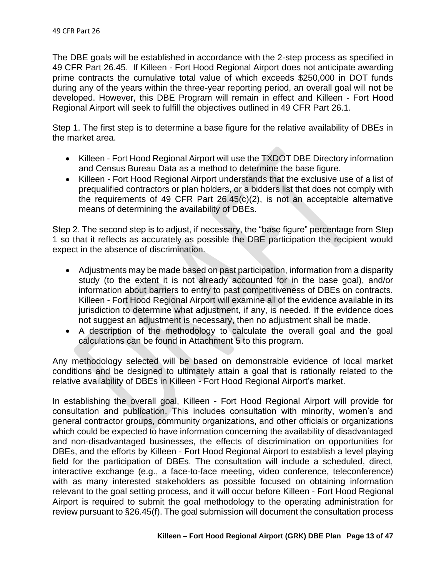The DBE goals will be established in accordance with the 2-step process as specified in 49 CFR Part 26.45. If Killeen - Fort Hood Regional Airport does not anticipate awarding prime contracts the cumulative total value of which exceeds \$250,000 in DOT funds during any of the years within the three-year reporting period, an overall goal will not be developed. However, this DBE Program will remain in effect and Killeen - Fort Hood Regional Airport will seek to fulfill the objectives outlined in 49 CFR Part 26.1.

Step 1. The first step is to determine a base figure for the relative availability of DBEs in the market area.

- Killeen Fort Hood Regional Airport will use the TXDOT DBE Directory information and Census Bureau Data as a method to determine the base figure.
- Killeen Fort Hood Regional Airport understands that the exclusive use of a list of prequalified contractors or plan holders, or a bidders list that does not comply with the requirements of 49 CFR Part 26.45(c)(2), is not an acceptable alternative means of determining the availability of DBEs.

Step 2. The second step is to adjust, if necessary, the "base figure" percentage from Step 1 so that it reflects as accurately as possible the DBE participation the recipient would expect in the absence of discrimination.

- Adjustments may be made based on past participation, information from a disparity study (to the extent it is not already accounted for in the base goal), and/or information about barriers to entry to past competitiveness of DBEs on contracts. Killeen - Fort Hood Regional Airport will examine all of the evidence available in its jurisdiction to determine what adjustment, if any, is needed. If the evidence does not suggest an adjustment is necessary, then no adjustment shall be made.
- A description of the methodology to calculate the overall goal and the goal calculations can be found in Attachment 5 to this program.

Any methodology selected will be based on demonstrable evidence of local market conditions and be designed to ultimately attain a goal that is rationally related to the relative availability of DBEs in Killeen - Fort Hood Regional Airport's market.

In establishing the overall goal, Killeen - Fort Hood Regional Airport will provide for consultation and publication. This includes consultation with minority, women's and general contractor groups, community organizations, and other officials or organizations which could be expected to have information concerning the availability of disadvantaged and non-disadvantaged businesses, the effects of discrimination on opportunities for DBEs, and the efforts by Killeen - Fort Hood Regional Airport to establish a level playing field for the participation of DBEs. The consultation will include a scheduled, direct, interactive exchange (e.g., a face-to-face meeting, video conference, teleconference) with as many interested stakeholders as possible focused on obtaining information relevant to the goal setting process, and it will occur before Killeen - Fort Hood Regional Airport is required to submit the goal methodology to the operating administration for review pursuant to §26.45(f). The goal submission will document the consultation process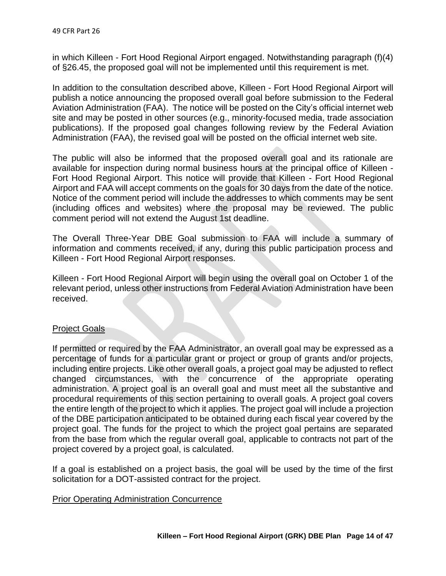in which Killeen - Fort Hood Regional Airport engaged. Notwithstanding paragraph (f)(4) of §26.45, the proposed goal will not be implemented until this requirement is met.

In addition to the consultation described above, Killeen - Fort Hood Regional Airport will publish a notice announcing the proposed overall goal before submission to the Federal Aviation Administration (FAA). The notice will be posted on the City's official internet web site and may be posted in other sources (e.g., minority-focused media, trade association publications). If the proposed goal changes following review by the Federal Aviation Administration (FAA), the revised goal will be posted on the official internet web site.

The public will also be informed that the proposed overall goal and its rationale are available for inspection during normal business hours at the principal office of Killeen - Fort Hood Regional Airport. This notice will provide that Killeen - Fort Hood Regional Airport and FAA will accept comments on the goals for 30 days from the date of the notice. Notice of the comment period will include the addresses to which comments may be sent (including offices and websites) where the proposal may be reviewed. The public comment period will not extend the August 1st deadline.

The Overall Three-Year DBE Goal submission to FAA will include a summary of information and comments received, if any, during this public participation process and Killeen - Fort Hood Regional Airport responses.

Killeen - Fort Hood Regional Airport will begin using the overall goal on October 1 of the relevant period, unless other instructions from Federal Aviation Administration have been received.

### Project Goals

If permitted or required by the FAA Administrator, an overall goal may be expressed as a percentage of funds for a particular grant or project or group of grants and/or projects, including entire projects. Like other overall goals, a project goal may be adjusted to reflect changed circumstances, with the concurrence of the appropriate operating administration. A project goal is an overall goal and must meet all the substantive and procedural requirements of this section pertaining to overall goals. A project goal covers the entire length of the project to which it applies. The project goal will include a projection of the DBE participation anticipated to be obtained during each fiscal year covered by the project goal. The funds for the project to which the project goal pertains are separated from the base from which the regular overall goal, applicable to contracts not part of the project covered by a project goal, is calculated.

If a goal is established on a project basis, the goal will be used by the time of the first solicitation for a DOT-assisted contract for the project.

### **Prior Operating Administration Concurrence**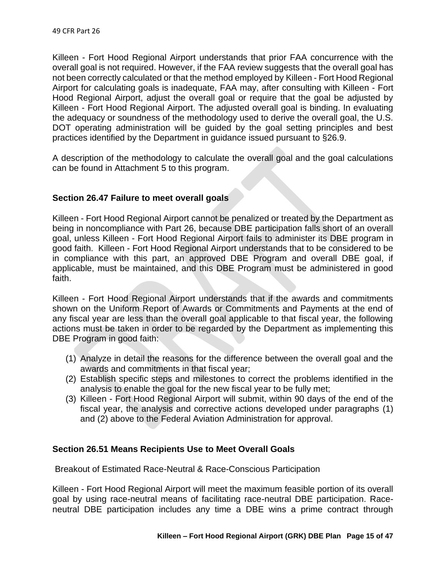Killeen - Fort Hood Regional Airport understands that prior FAA concurrence with the overall goal is not required. However, if the FAA review suggests that the overall goal has not been correctly calculated or that the method employed by Killeen - Fort Hood Regional Airport for calculating goals is inadequate, FAA may, after consulting with Killeen - Fort Hood Regional Airport, adjust the overall goal or require that the goal be adjusted by Killeen - Fort Hood Regional Airport. The adjusted overall goal is binding. In evaluating the adequacy or soundness of the methodology used to derive the overall goal, the U.S. DOT operating administration will be guided by the goal setting principles and best practices identified by the Department in guidance issued pursuant to §26.9.

A description of the methodology to calculate the overall goal and the goal calculations can be found in Attachment 5 to this program.

## **Section 26.47 Failure to meet overall goals**

Killeen - Fort Hood Regional Airport cannot be penalized or treated by the Department as being in noncompliance with Part 26, because DBE participation falls short of an overall goal, unless Killeen - Fort Hood Regional Airport fails to administer its DBE program in good faith. Killeen - Fort Hood Regional Airport understands that to be considered to be in compliance with this part, an approved DBE Program and overall DBE goal, if applicable, must be maintained, and this DBE Program must be administered in good faith.

Killeen - Fort Hood Regional Airport understands that if the awards and commitments shown on the Uniform Report of Awards or Commitments and Payments at the end of any fiscal year are less than the overall goal applicable to that fiscal year, the following actions must be taken in order to be regarded by the Department as implementing this DBE Program in good faith:

- (1) Analyze in detail the reasons for the difference between the overall goal and the awards and commitments in that fiscal year;
- (2) Establish specific steps and milestones to correct the problems identified in the analysis to enable the goal for the new fiscal year to be fully met;
- (3) Killeen Fort Hood Regional Airport will submit, within 90 days of the end of the fiscal year, the analysis and corrective actions developed under paragraphs (1) and (2) above to the Federal Aviation Administration for approval.

## **Section 26.51 Means Recipients Use to Meet Overall Goals**

Breakout of Estimated Race-Neutral & Race-Conscious Participation

Killeen - Fort Hood Regional Airport will meet the maximum feasible portion of its overall goal by using race-neutral means of facilitating race-neutral DBE participation. Raceneutral DBE participation includes any time a DBE wins a prime contract through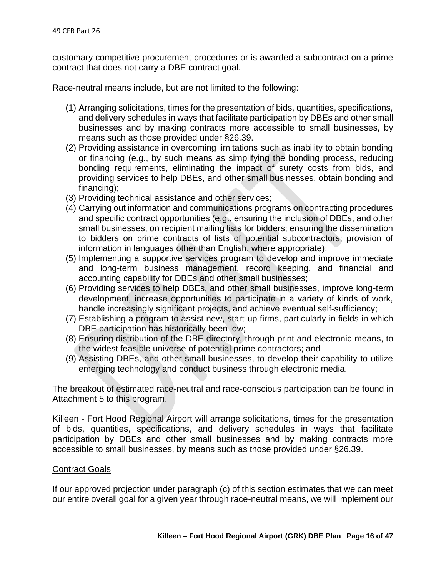customary competitive procurement procedures or is awarded a subcontract on a prime contract that does not carry a DBE contract goal.

Race-neutral means include, but are not limited to the following:

- (1) Arranging solicitations, times for the presentation of bids, quantities, specifications, and delivery schedules in ways that facilitate participation by DBEs and other small businesses and by making contracts more accessible to small businesses, by means such as those provided under §26.39.
- (2) Providing assistance in overcoming limitations such as inability to obtain bonding or financing (e.g., by such means as simplifying the bonding process, reducing bonding requirements, eliminating the impact of surety costs from bids, and providing services to help DBEs, and other small businesses, obtain bonding and financing);
- (3) Providing technical assistance and other services;
- (4) Carrying out information and communications programs on contracting procedures and specific contract opportunities (e.g., ensuring the inclusion of DBEs, and other small businesses, on recipient mailing lists for bidders; ensuring the dissemination to bidders on prime contracts of lists of potential subcontractors; provision of information in languages other than English, where appropriate);
- (5) Implementing a supportive services program to develop and improve immediate and long-term business management, record keeping, and financial and accounting capability for DBEs and other small businesses;
- (6) Providing services to help DBEs, and other small businesses, improve long-term development, increase opportunities to participate in a variety of kinds of work, handle increasingly significant projects, and achieve eventual self-sufficiency;
- (7) Establishing a program to assist new, start-up firms, particularly in fields in which DBE participation has historically been low;
- (8) Ensuring distribution of the DBE directory, through print and electronic means, to the widest feasible universe of potential prime contractors; and
- (9) Assisting DBEs, and other small businesses, to develop their capability to utilize emerging technology and conduct business through electronic media.

The breakout of estimated race-neutral and race-conscious participation can be found in Attachment 5 to this program.

Killeen - Fort Hood Regional Airport will arrange solicitations, times for the presentation of bids, quantities, specifications, and delivery schedules in ways that facilitate participation by DBEs and other small businesses and by making contracts more accessible to small businesses, by means such as those provided under §26.39.

### Contract Goals

If our approved projection under paragraph (c) of this section estimates that we can meet our entire overall goal for a given year through race-neutral means, we will implement our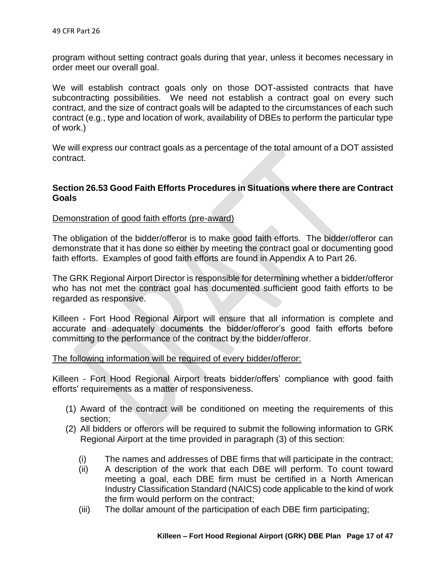program without setting contract goals during that year, unless it becomes necessary in order meet our overall goal.

We will establish contract goals only on those DOT-assisted contracts that have subcontracting possibilities. We need not establish a contract goal on every such contract, and the size of contract goals will be adapted to the circumstances of each such contract (e.g., type and location of work, availability of DBEs to perform the particular type of work.)

We will express our contract goals as a percentage of the total amount of a DOT assisted contract.

## **Section 26.53 Good Faith Efforts Procedures in Situations where there are Contract Goals**

## Demonstration of good faith efforts (pre-award)

The obligation of the bidder/offeror is to make good faith efforts. The bidder/offeror can demonstrate that it has done so either by meeting the contract goal or documenting good faith efforts. Examples of good faith efforts are found in Appendix A to Part 26.

The GRK Regional Airport Director is responsible for determining whether a bidder/offeror who has not met the contract goal has documented sufficient good faith efforts to be regarded as responsive.

Killeen - Fort Hood Regional Airport will ensure that all information is complete and accurate and adequately documents the bidder/offeror's good faith efforts before committing to the performance of the contract by the bidder/offeror.

### The following information will be required of every bidder/offeror:

Killeen - Fort Hood Regional Airport treats bidder/offers' compliance with good faith efforts' requirements as a matter of responsiveness.

- (1) Award of the contract will be conditioned on meeting the requirements of this section;
- (2) All bidders or offerors will be required to submit the following information to GRK Regional Airport at the time provided in paragraph (3) of this section:
	- (i) The names and addresses of DBE firms that will participate in the contract;
	- (ii) A description of the work that each DBE will perform. To count toward meeting a goal, each DBE firm must be certified in a North American Industry Classification Standard (NAICS) code applicable to the kind of work the firm would perform on the contract;
	- (iii) The dollar amount of the participation of each DBE firm participating;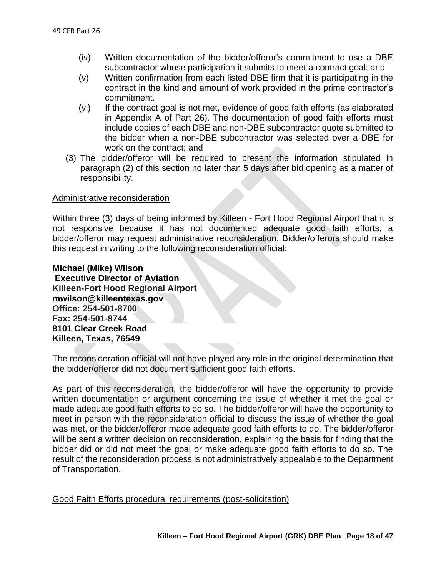- (iv) Written documentation of the bidder/offeror's commitment to use a DBE subcontractor whose participation it submits to meet a contract goal; and
- (v) Written confirmation from each listed DBE firm that it is participating in the contract in the kind and amount of work provided in the prime contractor's commitment.
- (vi) If the contract goal is not met, evidence of good faith efforts (as elaborated in Appendix A of Part 26). The documentation of good faith efforts must include copies of each DBE and non-DBE subcontractor quote submitted to the bidder when a non-DBE subcontractor was selected over a DBE for work on the contract; and
- (3) The bidder/offeror will be required to present the information stipulated in paragraph (2) of this section no later than 5 days after bid opening as a matter of responsibility.

#### Administrative reconsideration

Within three (3) days of being informed by Killeen - Fort Hood Regional Airport that it is not responsive because it has not documented adequate good faith efforts, a bidder/offeror may request administrative reconsideration. Bidder/offerors should make this request in writing to the following reconsideration official:

**Michael (Mike) Wilson Executive Director of Aviation Killeen-Fort Hood Regional Airport mwilson@killeentexas.gov Office: 254-501-8700 Fax: 254-501-8744 8101 Clear Creek Road Killeen, Texas, 76549**

The reconsideration official will not have played any role in the original determination that the bidder/offeror did not document sufficient good faith efforts.

As part of this reconsideration, the bidder/offeror will have the opportunity to provide written documentation or argument concerning the issue of whether it met the goal or made adequate good faith efforts to do so. The bidder/offeror will have the opportunity to meet in person with the reconsideration official to discuss the issue of whether the goal was met, or the bidder/offeror made adequate good faith efforts to do. The bidder/offeror will be sent a written decision on reconsideration, explaining the basis for finding that the bidder did or did not meet the goal or make adequate good faith efforts to do so. The result of the reconsideration process is not administratively appealable to the Department of Transportation.

Good Faith Efforts procedural requirements (post-solicitation)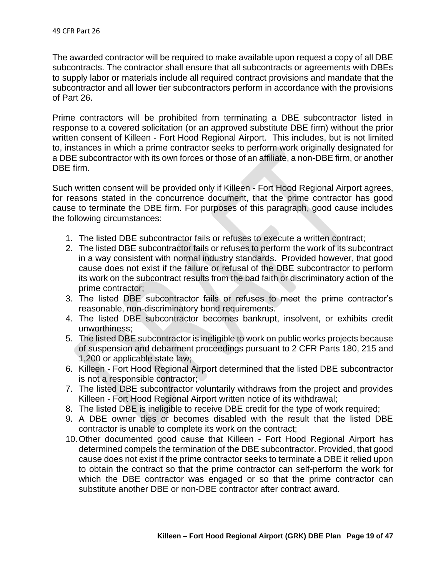The awarded contractor will be required to make available upon request a copy of all DBE subcontracts. The contractor shall ensure that all subcontracts or agreements with DBEs to supply labor or materials include all required contract provisions and mandate that the subcontractor and all lower tier subcontractors perform in accordance with the provisions of Part 26.

Prime contractors will be prohibited from terminating a DBE subcontractor listed in response to a covered solicitation (or an approved substitute DBE firm) without the prior written consent of Killeen - Fort Hood Regional Airport. This includes, but is not limited to, instances in which a prime contractor seeks to perform work originally designated for a DBE subcontractor with its own forces or those of an affiliate, a non-DBE firm, or another DBE firm.

Such written consent will be provided only if Killeen - Fort Hood Regional Airport agrees, for reasons stated in the concurrence document, that the prime contractor has good cause to terminate the DBE firm. For purposes of this paragraph, good cause includes the following circumstances:

- 1. The listed DBE subcontractor fails or refuses to execute a written contract;
- 2. The listed DBE subcontractor fails or refuses to perform the work of its subcontract in a way consistent with normal industry standards. Provided however, that good cause does not exist if the failure or refusal of the DBE subcontractor to perform its work on the subcontract results from the bad faith or discriminatory action of the prime contractor;
- 3. The listed DBE subcontractor fails or refuses to meet the prime contractor's reasonable, non-discriminatory bond requirements.
- 4. The listed DBE subcontractor becomes bankrupt, insolvent, or exhibits credit unworthiness;
- 5. The listed DBE subcontractor is ineligible to work on public works projects because of suspension and debarment proceedings pursuant to 2 CFR Parts 180, 215 and 1,200 or applicable state law;
- 6. Killeen Fort Hood Regional Airport determined that the listed DBE subcontractor is not a responsible contractor;
- 7. The listed DBE subcontractor voluntarily withdraws from the project and provides Killeen - Fort Hood Regional Airport written notice of its withdrawal;
- 8. The listed DBE is ineligible to receive DBE credit for the type of work required;
- 9. A DBE owner dies or becomes disabled with the result that the listed DBE contractor is unable to complete its work on the contract;
- 10.Other documented good cause that Killeen Fort Hood Regional Airport has determined compels the termination of the DBE subcontractor. Provided, that good cause does not exist if the prime contractor seeks to terminate a DBE it relied upon to obtain the contract so that the prime contractor can self-perform the work for which the DBE contractor was engaged or so that the prime contractor can substitute another DBE or non-DBE contractor after contract award.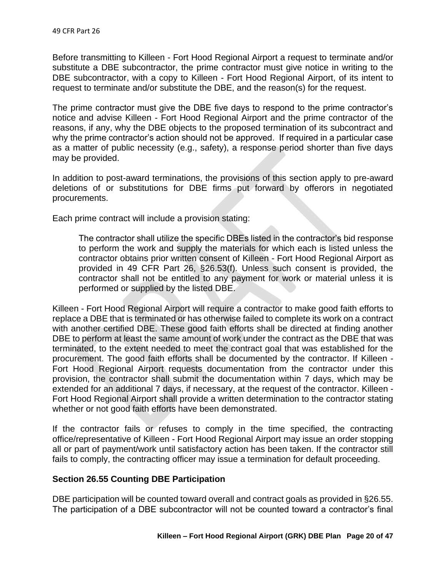Before transmitting to Killeen - Fort Hood Regional Airport a request to terminate and/or substitute a DBE subcontractor, the prime contractor must give notice in writing to the DBE subcontractor, with a copy to Killeen - Fort Hood Regional Airport, of its intent to request to terminate and/or substitute the DBE, and the reason(s) for the request.

The prime contractor must give the DBE five days to respond to the prime contractor's notice and advise Killeen - Fort Hood Regional Airport and the prime contractor of the reasons, if any, why the DBE objects to the proposed termination of its subcontract and why the prime contractor's action should not be approved. If required in a particular case as a matter of public necessity (e.g., safety), a response period shorter than five days may be provided.

In addition to post-award terminations, the provisions of this section apply to pre-award deletions of or substitutions for DBE firms put forward by offerors in negotiated procurements.

Each prime contract will include a provision stating:

The contractor shall utilize the specific DBEs listed in the contractor's bid response to perform the work and supply the materials for which each is listed unless the contractor obtains prior written consent of Killeen - Fort Hood Regional Airport as provided in 49 CFR Part 26, §26.53(f). Unless such consent is provided, the contractor shall not be entitled to any payment for work or material unless it is performed or supplied by the listed DBE.

Killeen - Fort Hood Regional Airport will require a contractor to make good faith efforts to replace a DBE that is terminated or has otherwise failed to complete its work on a contract with another certified DBE. These good faith efforts shall be directed at finding another DBE to perform at least the same amount of work under the contract as the DBE that was terminated, to the extent needed to meet the contract goal that was established for the procurement. The good faith efforts shall be documented by the contractor. If Killeen - Fort Hood Regional Airport requests documentation from the contractor under this provision, the contractor shall submit the documentation within 7 days, which may be extended for an additional 7 days, if necessary, at the request of the contractor. Killeen - Fort Hood Regional Airport shall provide a written determination to the contractor stating whether or not good faith efforts have been demonstrated.

If the contractor fails or refuses to comply in the time specified, the contracting office/representative of Killeen - Fort Hood Regional Airport may issue an order stopping all or part of payment/work until satisfactory action has been taken. If the contractor still fails to comply, the contracting officer may issue a termination for default proceeding.

## **Section 26.55 Counting DBE Participation**

DBE participation will be counted toward overall and contract goals as provided in §26.55. The participation of a DBE subcontractor will not be counted toward a contractor's final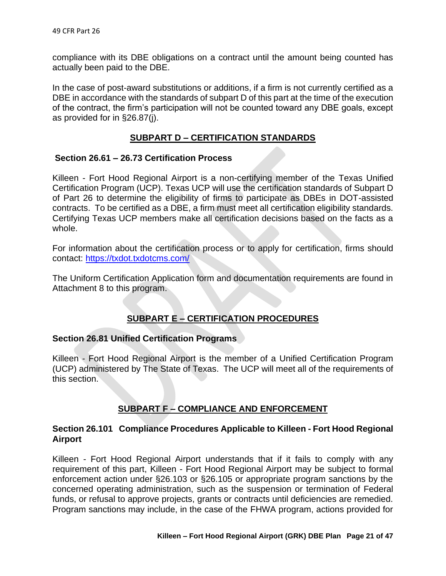compliance with its DBE obligations on a contract until the amount being counted has actually been paid to the DBE.

In the case of post-award substitutions or additions, if a firm is not currently certified as a DBE in accordance with the standards of subpart D of this part at the time of the execution of the contract, the firm's participation will not be counted toward any DBE goals, except as provided for in §26.87(j).

## **SUBPART D – CERTIFICATION STANDARDS**

## **Section 26.61 – 26.73 Certification Process**

Killeen - Fort Hood Regional Airport is a non-certifying member of the Texas Unified Certification Program (UCP). Texas UCP will use the certification standards of Subpart D of Part 26 to determine the eligibility of firms to participate as DBEs in DOT-assisted contracts. To be certified as a DBE, a firm must meet all certification eligibility standards. Certifying Texas UCP members make all certification decisions based on the facts as a whole.

For information about the certification process or to apply for certification, firms should contact: <https://txdot.txdotcms.com/>

The Uniform Certification Application form and documentation requirements are found in Attachment 8 to this program.

## **SUBPART E – CERTIFICATION PROCEDURES**

### **Section 26.81 Unified Certification Programs**

Killeen - Fort Hood Regional Airport is the member of a Unified Certification Program (UCP) administered by The State of Texas. The UCP will meet all of the requirements of this section.

## **SUBPART F – COMPLIANCE AND ENFORCEMENT**

## **Section 26.101 Compliance Procedures Applicable to Killeen - Fort Hood Regional Airport**

Killeen - Fort Hood Regional Airport understands that if it fails to comply with any requirement of this part, Killeen - Fort Hood Regional Airport may be subject to formal enforcement action under §26.103 or §26.105 or appropriate program sanctions by the concerned operating administration, such as the suspension or termination of Federal funds, or refusal to approve projects, grants or contracts until deficiencies are remedied. Program sanctions may include, in the case of the FHWA program, actions provided for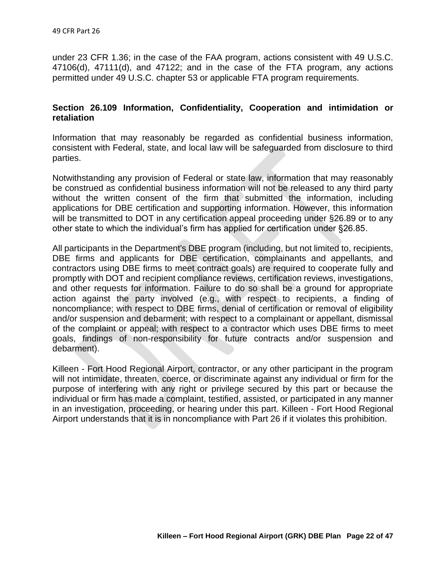under 23 CFR 1.36; in the case of the FAA program, actions consistent with 49 U.S.C. 47106(d), 47111(d), and 47122; and in the case of the FTA program, any actions permitted under 49 U.S.C. chapter 53 or applicable FTA program requirements.

## **Section 26.109 Information, Confidentiality, Cooperation and intimidation or retaliation**

Information that may reasonably be regarded as confidential business information, consistent with Federal, state, and local law will be safeguarded from disclosure to third parties.

Notwithstanding any provision of Federal or state law, information that may reasonably be construed as confidential business information will not be released to any third party without the written consent of the firm that submitted the information, including applications for DBE certification and supporting information. However, this information will be transmitted to DOT in any certification appeal proceeding under §26.89 or to any other state to which the individual's firm has applied for certification under §26.85.

All participants in the Department's DBE program (including, but not limited to, recipients, DBE firms and applicants for DBE certification, complainants and appellants, and contractors using DBE firms to meet contract goals) are required to cooperate fully and promptly with DOT and recipient compliance reviews, certification reviews, investigations, and other requests for information. Failure to do so shall be a ground for appropriate action against the party involved (e.g., with respect to recipients, a finding of noncompliance; with respect to DBE firms, denial of certification or removal of eligibility and/or suspension and debarment; with respect to a complainant or appellant, dismissal of the complaint or appeal; with respect to a contractor which uses DBE firms to meet goals, findings of non-responsibility for future contracts and/or suspension and debarment).

Killeen - Fort Hood Regional Airport, contractor, or any other participant in the program will not intimidate, threaten, coerce, or discriminate against any individual or firm for the purpose of interfering with any right or privilege secured by this part or because the individual or firm has made a complaint, testified, assisted, or participated in any manner in an investigation, proceeding, or hearing under this part. Killeen - Fort Hood Regional Airport understands that it is in noncompliance with Part 26 if it violates this prohibition.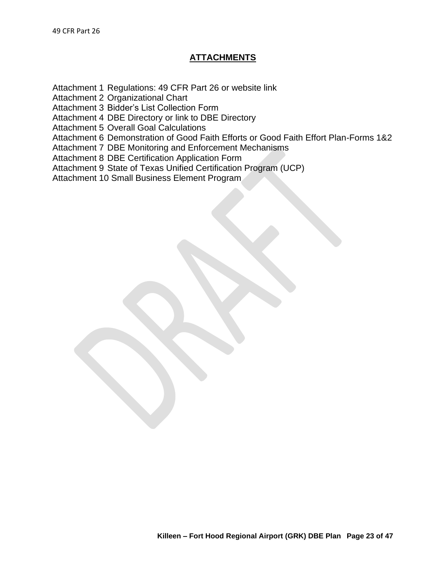Attachment 1 Regulations: 49 CFR Part 26 or website link

Attachment 2 Organizational Chart

Attachment 3 Bidder's List Collection Form

Attachment 4 DBE Directory or link to DBE Directory

Attachment 5 Overall Goal Calculations

Attachment 6 Demonstration of Good Faith Efforts or Good Faith Effort Plan-Forms 1&2

Attachment 7 DBE Monitoring and Enforcement Mechanisms

Attachment 8 DBE Certification Application Form

Attachment 9 State of Texas Unified Certification Program (UCP)

Attachment 10 Small Business Element Program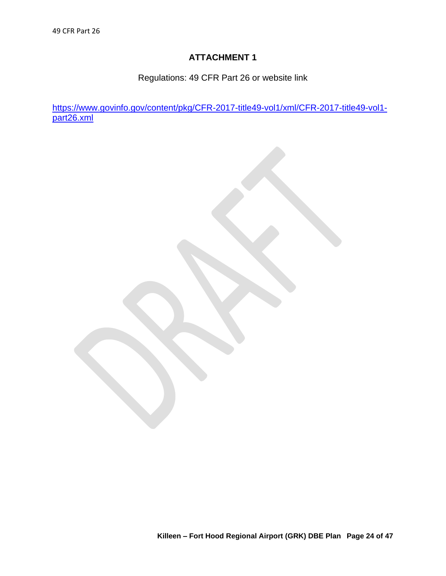Regulations: 49 CFR Part 26 or website link

[https://www.govinfo.gov/content/pkg/CFR-2017-title49-vol1/xml/CFR-2017-title49-vol1](https://www.govinfo.gov/content/pkg/CFR-2017-title49-vol1/xml/CFR-2017-title49-vol1-part26.xml) [part26.xml](https://www.govinfo.gov/content/pkg/CFR-2017-title49-vol1/xml/CFR-2017-title49-vol1-part26.xml)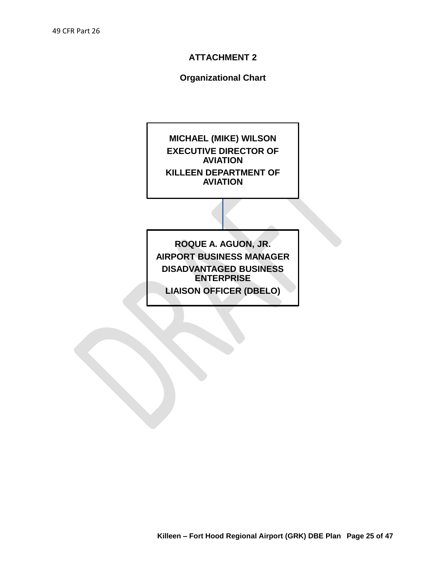## **Organizational Chart**

**MICHAEL (MIKE) WILSON EXECUTIVE DIRECTOR OF AVIATION KILLEEN DEPARTMENT OF AVIATION** 

**ROQUE A. AGUON, JR. AIRPORT BUSINESS MANAGER DISADVANTAGED BUSINESS ENTERPRISE**

**LIAISON OFFICER (DBELO)**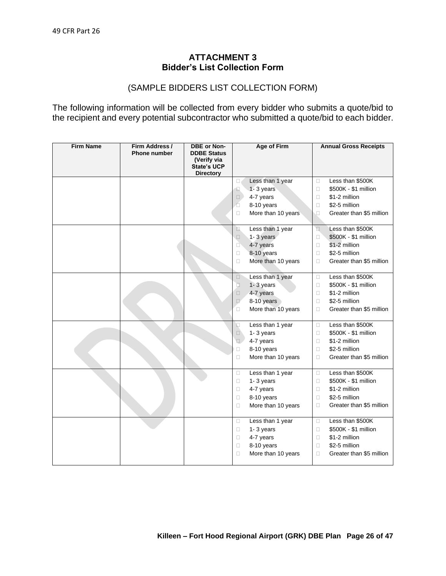## **ATTACHMENT 3 Bidder's List Collection Form**

## (SAMPLE BIDDERS LIST COLLECTION FORM)

The following information will be collected from every bidder who submits a quote/bid to the recipient and every potential subcontractor who submitted a quote/bid to each bidder.

| <b>Firm Name</b> | Firm Address /<br><b>Phone number</b> | <b>DBE or Non-</b><br><b>DDBE Status</b> | <b>Age of Firm</b>           | <b>Annual Gross Receipts</b>       |
|------------------|---------------------------------------|------------------------------------------|------------------------------|------------------------------------|
|                  |                                       | (Verify via                              |                              |                                    |
|                  |                                       | <b>State's UCP</b>                       |                              |                                    |
|                  |                                       | <b>Directory</b>                         | Less than 1 year<br>0.       | Less than \$500K<br>$\Box$         |
|                  |                                       |                                          | 1-3 years<br>E               | \$500K - \$1 million<br>$\Box$     |
|                  |                                       |                                          | 4-7 years<br>$\Box$          | \$1-2 million<br>$\Box$            |
|                  |                                       |                                          | Ó<br>8-10 years              | \$2-5 million<br>$\Box$            |
|                  |                                       |                                          | More than 10 years<br>Ω      | Greater than \$5 million<br>□      |
|                  |                                       |                                          |                              |                                    |
|                  |                                       |                                          | Less than 1 year<br>D.       | Less than \$500K<br>$\Box$         |
|                  |                                       |                                          | 1-3 years<br>$\Box$          | \$500K - \$1 million<br>$\Box$     |
|                  |                                       |                                          | 4-7 years<br>$\Box$          | \$1-2 million<br>$\Box$            |
|                  |                                       |                                          | 8-10 years<br>$\Box$         | \$2-5 million<br>$\Box$            |
|                  |                                       |                                          | More than 10 years<br>$\Box$ | Greater than \$5 million<br>$\Box$ |
|                  |                                       |                                          |                              |                                    |
|                  |                                       |                                          | Less than 1 year<br>$\Box$   | Less than \$500K<br>$\Box$         |
|                  |                                       |                                          | $\Box$<br>1-3 years          | \$500K - \$1 million<br>$\Box$     |
|                  |                                       |                                          | 4-7 years<br>$\Box$          | \$1-2 million<br>$\Box$            |
|                  |                                       |                                          | 8-10 years<br>$\Box$         | \$2-5 million<br>$\Box$            |
|                  |                                       |                                          | More than 10 years<br>Ω      | Greater than \$5 million<br>$\Box$ |
|                  |                                       |                                          | Less than 1 year<br>$\Box$   | Less than \$500K<br>$\Box$         |
|                  |                                       |                                          | 1-3 years<br>$\Box$          | \$500K - \$1 million<br>$\Box$     |
|                  |                                       |                                          | 4-7 years<br>$\square$       | \$1-2 million<br>$\Box$            |
|                  |                                       |                                          | 8-10 years<br>$\Box$         | \$2-5 million<br>$\Box$            |
|                  |                                       |                                          | More than 10 years<br>□      | Greater than \$5 million<br>Ω      |
|                  |                                       |                                          | Less than 1 year<br>Ω        | Less than \$500K<br>$\Box$         |
|                  |                                       |                                          | 1-3 years<br>0               | \$500K - \$1 million<br>$\Box$     |
|                  |                                       |                                          | 4-7 years<br>$\Box$          | \$1-2 million<br>$\Box$            |
|                  |                                       |                                          | 8-10 years<br>$\Box$         | \$2-5 million<br>$\Box$            |
|                  |                                       |                                          | More than 10 years<br>0      | Greater than \$5 million<br>$\Box$ |
|                  |                                       |                                          |                              |                                    |
|                  |                                       |                                          | Less than 1 year<br>Ω        | Less than \$500K<br>$\Box$         |
|                  |                                       |                                          | 1-3 years<br>0               | \$500K - \$1 million<br>$\Box$     |
|                  |                                       |                                          | 4-7 years<br>Ω               | \$1-2 million<br>$\Box$            |
|                  |                                       |                                          | 8-10 years<br>Ω              | \$2-5 million<br>$\Box$            |
|                  |                                       |                                          | More than 10 years<br>□      | Greater than \$5 million<br>$\Box$ |
|                  |                                       |                                          |                              |                                    |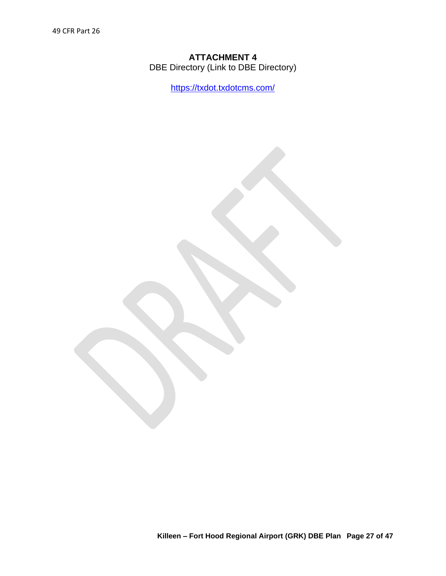## **ATTACHMENT 4** DBE Directory (Link to DBE Directory)

<https://txdot.txdotcms.com/>

**Killeen – Fort Hood Regional Airport (GRK) DBE Plan Page 27 of 47**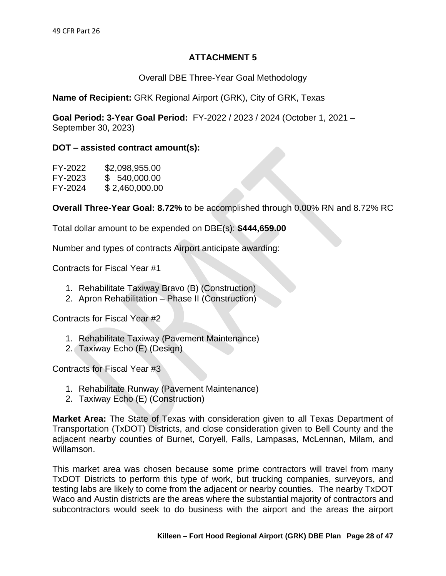## Overall DBE Three-Year Goal Methodology

**Name of Recipient:** GRK Regional Airport (GRK), City of GRK, Texas

**Goal Period: 3-Year Goal Period:** FY-2022 / 2023 / 2024 (October 1, 2021 – September 30, 2023)

## **DOT – assisted contract amount(s):**

| FY-2022 | \$2,098,955.00 |
|---------|----------------|
| FY-2023 | \$ 540,000.00  |
| FY-2024 | \$2,460,000.00 |

**Overall Three-Year Goal: 8.72%** to be accomplished through 0.00% RN and 8.72% RC

Total dollar amount to be expended on DBE(s): **\$444,659.00** 

Number and types of contracts Airport anticipate awarding:

Contracts for Fiscal Year #1

- 1. Rehabilitate Taxiway Bravo (B) (Construction)
- 2. Apron Rehabilitation Phase II (Construction)

Contracts for Fiscal Year #2

- 1. Rehabilitate Taxiway (Pavement Maintenance)
- 2. Taxiway Echo (E) (Design)

Contracts for Fiscal Year #3

- 1. Rehabilitate Runway (Pavement Maintenance)
- 2. Taxiway Echo (E) (Construction)

**Market Area:** The State of Texas with consideration given to all Texas Department of Transportation (TxDOT) Districts, and close consideration given to Bell County and the adjacent nearby counties of Burnet, Coryell, Falls, Lampasas, McLennan, Milam, and Willamson.

This market area was chosen because some prime contractors will travel from many TxDOT Districts to perform this type of work, but trucking companies, surveyors, and testing labs are likely to come from the adjacent or nearby counties. The nearby TxDOT Waco and Austin districts are the areas where the substantial majority of contractors and subcontractors would seek to do business with the airport and the areas the airport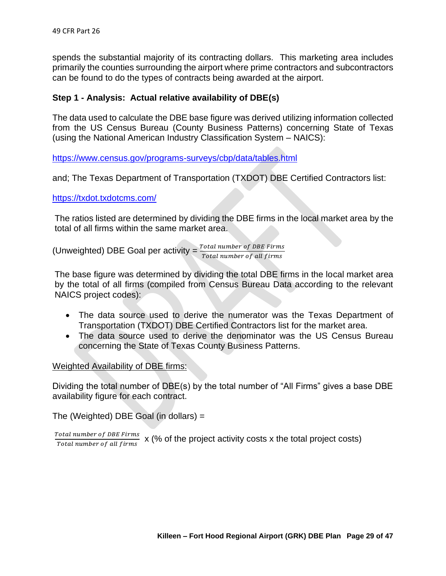spends the substantial majority of its contracting dollars. This marketing area includes primarily the counties surrounding the airport where prime contractors and subcontractors can be found to do the types of contracts being awarded at the airport.

## **Step 1 - Analysis: Actual relative availability of DBE(s)**

The data used to calculate the DBE base figure was derived utilizing information collected from the US Census Bureau (County Business Patterns) concerning State of Texas (using the National American Industry Classification System – NAICS):

<https://www.census.gov/programs-surveys/cbp/data/tables.html>

and; The Texas Department of Transportation (TXDOT) DBE Certified Contractors list:

#### <https://txdot.txdotcms.com/>

The ratios listed are determined by dividing the DBE firms in the local market area by the total of all firms within the same market area.

(Unweighted) DBE Goal per activity =  $\frac{Total number of DBE \text{ Firms}}{Total number of all f times}$ Total number of all firms

The base figure was determined by dividing the total DBE firms in the local market area by the total of all firms (compiled from Census Bureau Data according to the relevant NAICS project codes):

- The data source used to derive the numerator was the Texas Department of Transportation (TXDOT) DBE Certified Contractors list for the market area.
- The data source used to derive the denominator was the US Census Bureau concerning the State of Texas County Business Patterns.

Weighted Availability of DBE firms:

Dividing the total number of DBE(s) by the total number of "All Firms" gives a base DBE availability figure for each contract.

The (Weighted) DBE Goal (in dollars) =

Total number of DBE Firms  $\frac{6\pi a}{\pi}$  rander by DBE FITHS  $x$  (% of the project activity costs x the total project costs)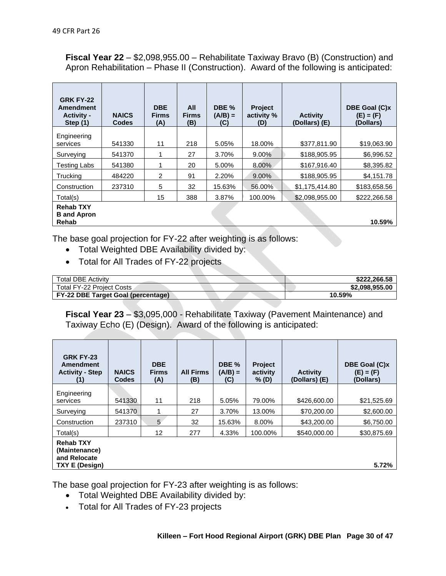**Fiscal Year 22** – \$2,098,955.00 – Rehabilitate Taxiway Bravo (B) (Construction) and Apron Rehabilitation – Phase II (Construction). Award of the following is anticipated:

| <b>GRK FY-22</b><br><b>Amendment</b><br><b>Activity -</b><br>Step $(1)$ | <b>NAICS</b><br><b>Codes</b> | <b>DBE</b><br><b>Firms</b><br>(A) | All<br><b>Firms</b><br>(B) | DBE %<br>$(A/B) =$<br>(C) | <b>Project</b><br>activity %<br>(D) | <b>Activity</b><br>(Dollars) (E) | DBE Goal (C)x<br>$(E) = (F)$<br>(Dollars) |
|-------------------------------------------------------------------------|------------------------------|-----------------------------------|----------------------------|---------------------------|-------------------------------------|----------------------------------|-------------------------------------------|
| Engineering                                                             |                              |                                   |                            |                           |                                     |                                  |                                           |
| services                                                                | 541330                       | 11                                | 218                        | 5.05%                     | 18.00%                              | \$377,811.90                     | \$19,063.90                               |
| Surveying                                                               | 541370                       |                                   | 27                         | 3.70%                     | $9.00\%$                            | \$188,905.95                     | \$6,996.52                                |
| <b>Testing Labs</b>                                                     | 541380                       |                                   | 20                         | 5.00%                     | 8.00%                               | \$167,916.40                     | \$8,395.82                                |
| <b>Trucking</b>                                                         | 484220                       | 2                                 | 91                         | 2.20%                     | 9.00%                               | \$188,905.95                     | \$4,151.78                                |
| Construction                                                            | 237310                       | 5                                 | 32                         | 15.63%                    | 56.00%                              | \$1,175,414.80                   | \$183,658.56                              |
| Total(s)                                                                |                              | 15                                | 388                        | 3.87%                     | 100.00%                             | \$2,098,955.00                   | \$222,266.58                              |
| <b>Rehab TXY</b><br><b>B</b> and Apron<br>Rehab                         |                              |                                   |                            |                           |                                     |                                  | 10.59%                                    |

The base goal projection for FY-22 after weighting is as follows:

- Total Weighted DBE Availability divided by:
- Total for All Trades of FY-22 projects

| <b>Total DBE Activity</b>                 | \$222.266.58   |
|-------------------------------------------|----------------|
| Total FY-22 Proiect Costs                 | \$2,098,955,00 |
| <b>FY-22 DBE Target Goal (percentage)</b> | 10.59%         |

**Fiscal Year 23** – \$3,095,000 - Rehabilitate Taxiway (Pavement Maintenance) and Taxiway Echo (E) (Design). Award of the following is anticipated:

| <b>GRK FY-23</b><br>Amendment<br><b>Activity - Step</b>                    | <b>NAICS</b><br><b>Codes</b> | <b>DBE</b><br><b>Firms</b><br>(A) | <b>All Firms</b><br>(B) | DBE <sub>%</sub><br>$(A/B) =$<br>(C) | <b>Project</b><br>activity<br>% (D) | <b>Activity</b><br>(Dollars) (E) | DBE Goal (C)x<br>$(E) = (F)$<br>(Dollars) |
|----------------------------------------------------------------------------|------------------------------|-----------------------------------|-------------------------|--------------------------------------|-------------------------------------|----------------------------------|-------------------------------------------|
| Engineering                                                                |                              |                                   |                         |                                      |                                     |                                  |                                           |
| services                                                                   | 541330                       | 11                                | 218                     | 5.05%                                | 79.00%                              | \$426,600.00                     | \$21,525.69                               |
| Surveying                                                                  | 541370                       |                                   | 27                      | 3.70%                                | 13.00%                              | \$70,200.00                      | \$2,600.00                                |
| Construction                                                               | 237310                       | 5                                 | 32                      | 15.63%                               | 8.00%                               | \$43,200,00                      | \$6,750.00                                |
| Total(s)                                                                   |                              | 12                                | 277                     | 4.33%                                | 100.00%                             | \$540,000,00                     | \$30,875.69                               |
| <b>Rehab TXY</b><br>(Maintenance)<br>and Relocate<br><b>TXY E (Design)</b> |                              |                                   |                         |                                      |                                     |                                  | 5.72%                                     |

The base goal projection for FY-23 after weighting is as follows:

- Total Weighted DBE Availability divided by:
- Total for All Trades of FY-23 projects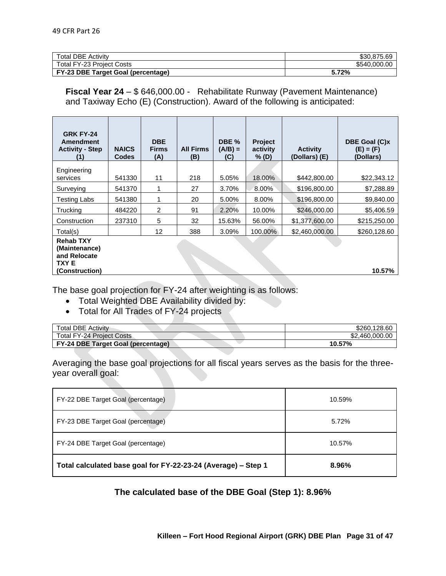| <b>Total DBE Activity</b>          | \$30.875.69  |
|------------------------------------|--------------|
| <b>Total FY-23 Project Costs</b>   | \$540.000.00 |
| FY-23 DBE Target Goal (percentage) | 5.72%        |

**Fiscal Year 24** – \$ 646,000.00 - Rehabilitate Runway (Pavement Maintenance) and Taxiway Echo (E) (Construction). Award of the following is anticipated:

| <b>GRK FY-24</b><br>Amendment<br><b>Activity - Step</b>                            | <b>NAICS</b><br><b>Codes</b> | <b>DBE</b><br><b>Firms</b><br>(A) | <b>All Firms</b><br>(B) | DBE %<br>$(A/B) =$<br>(C) | <b>Project</b><br>activity<br>% (D) | <b>Activity</b><br>(Dollars) (E) | DBE Goal (C)x<br>$(E) = (F)$<br>(Dollars) |
|------------------------------------------------------------------------------------|------------------------------|-----------------------------------|-------------------------|---------------------------|-------------------------------------|----------------------------------|-------------------------------------------|
| Engineering                                                                        |                              |                                   |                         |                           |                                     |                                  |                                           |
| services                                                                           | 541330                       | 11                                | 218                     | 5.05%                     | 18.00%                              | \$442,800.00                     | \$22,343.12                               |
| Surveying                                                                          | 541370                       | 1                                 | 27                      | 3.70%                     | 8.00%                               | \$196,800.00                     | \$7,288.89                                |
| <b>Testing Labs</b>                                                                | 541380                       | 1                                 | 20                      | 5.00%                     | 8.00%                               | \$196,800.00                     | \$9,840.00                                |
| Trucking                                                                           | 484220                       | 2                                 | 91                      | 2.20%                     | 10.00%                              | \$246,000.00                     | \$5,406.59                                |
| Construction                                                                       | 237310                       | 5                                 | 32                      | 15.63%                    | 56.00%                              | \$1,377,600.00                   | \$215,250.00                              |
| Total(s)                                                                           |                              | 12                                | 388                     | 3.09%                     | 100.00%                             | \$2,460,000.00                   | \$260,128.60                              |
| <b>Rehab TXY</b><br>(Maintenance)<br>and Relocate<br><b>TXYE</b><br>(Construction) |                              |                                   |                         |                           |                                     |                                  | 10.57%                                    |

The base goal projection for FY-24 after weighting is as follows:

- Total Weighted DBE Availability divided by:
- Total for All Trades of FY-24 projects

| <b>Total DBE Activity</b>                 | \$260,128,60   |
|-------------------------------------------|----------------|
| <b>Total FY-24 Project Costs</b>          | \$2,460,000,00 |
| <b>FY-24 DBE Target Goal (percentage)</b> | 10.57%         |

Averaging the base goal projections for all fiscal years serves as the basis for the threeyear overall goal:

| FY-22 DBE Target Goal (percentage)                            | 10.59% |
|---------------------------------------------------------------|--------|
| FY-23 DBE Target Goal (percentage)                            | 5.72%  |
| FY-24 DBE Target Goal (percentage)                            | 10.57% |
| Total calculated base goal for FY-22-23-24 (Average) - Step 1 | 8.96%  |

**The calculated base of the DBE Goal (Step 1): 8.96%**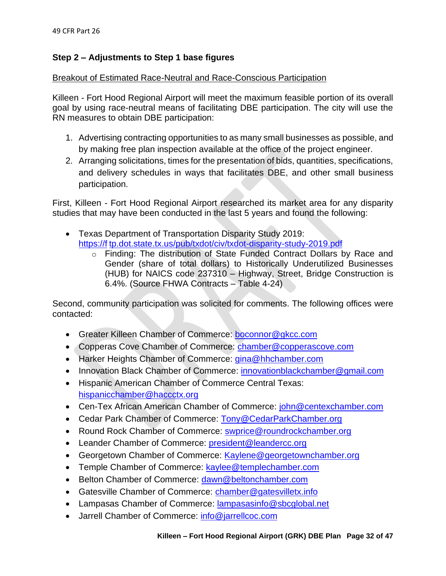## **Step 2 – Adjustments to Step 1 base figures**

## Breakout of Estimated Race-Neutral and Race-Conscious Participation

Killeen - Fort Hood Regional Airport will meet the maximum feasible portion of its overall goal by using race-neutral means of facilitating DBE participation. The city will use the RN measures to obtain DBE participation:

- 1. Advertising contracting opportunities to as many small businesses as possible, and by making free plan inspection available at the office of the project engineer.
- 2. Arranging solicitations, times for the presentation of bids, quantities, specifications, and delivery schedules in ways that facilitates DBE, and other small business participation.

First, Killeen - Fort Hood Regional Airport researched its market area for any disparity studies that may have been conducted in the last 5 years and found the following:

- Texas Department of Transportation Disparity Study 2019: https://f tp.dot.state.tx.us/pub/txdot/civ/txdot-disparity-study-2019.pdf
	- o Finding: The distribution of State Funded Contract Dollars by Race and Gender (share of total dollars) to Historically Underutilized Businesses (HUB) for NAICS code 237310 – Highway, Street, Bridge Construction is 6.4%. (Source FHWA Contracts – Table 4-24)

Second, community participation was solicited for comments. The following offices were contacted:

- Greater Killeen Chamber of Commerce: [boconnor@gkcc.com](mailto:boconnor@gkcc.com)
- Copperas Cove Chamber of Commerce: [chamber@copperascove.com](mailto:chamber@copperascove.com)
- Harker Heights Chamber of Commerce: [gina@hhchamber.com](mailto:gina@hhchamber.com)
- Innovation Black Chamber of Commerce: [innovationblackchamber@gmail.com](mailto:innovationblackchamber@gmail.com)
- Hispanic American Chamber of Commerce Central Texas: [hispanicchamber@haccctx.org](mailto:hispanicchamber@haccctx.org)
- Cen-Tex African American Chamber of Commerce: [john@centexchamber.com](mailto:john@centexchamber.com)
- Cedar Park Chamber of Commerce: [Tony@CedarParkChamber.org](mailto:Tony@CedarParkChamber.org)
- Round Rock Chamber of Commerce: [swprice@roundrockchamber.org](mailto:swprice@roundrockchamber.org)
- Leander Chamber of Commerce: [president@leandercc.org](mailto:president@leandercc.org)
- Georgetown Chamber of Commerce: [Kaylene@georgetownchamber.org](mailto:Kaylene@georgetownchamber.org)
- Temple Chamber of Commerce: [kaylee@templechamber.com](mailto:kaylee@templechamber.com)
- Belton Chamber of Commerce: [dawn@beltonchamber.com](mailto:dawn@beltonchamber.com)
- Gatesville Chamber of Commerce: [chamber@gatesvilletx.info](mailto:chamber@gatesvilletx.info)
- Lampasas Chamber of Commerce: **lampasasinfo@sbcglobal.net**
- Jarrell Chamber of Commerce: [info@jarrellcoc.com](mailto:info@jarrellcoc.com)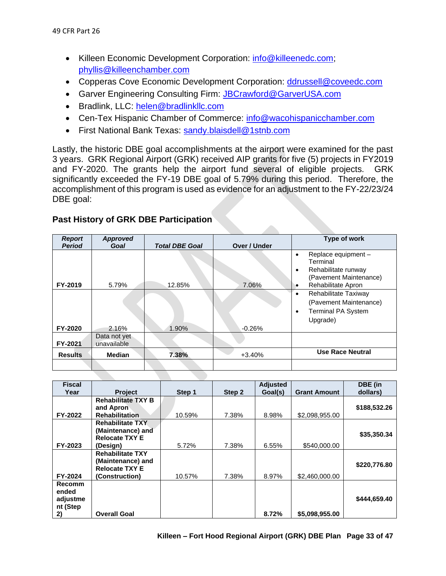- Killeen Economic Development Corporation: [info@killeenedc.com;](mailto:info@killeenedc.com) [phyllis@killeenchamber.com](mailto:phyllis@killeenchamber.com)
- Copperas Cove Economic Development Corporation: [ddrussell@coveedc.com](mailto:ddrussell@coveedc.com)
- Garver Engineering Consulting Firm: [JBCrawford@GarverUSA.com](mailto:JBCrawford@GarverUSA.com)
- Bradlink, LLC: [helen@bradlinkllc.com](mailto:helen@bradlinkllc.com)
- Cen-Tex Hispanic Chamber of Commerce: [info@wacohispanicchamber.com](mailto:info@wacohispanicchamber.com)
- First National Bank Texas: [sandy.blaisdell@1stnb.com](mailto:sandy.blaisdell@1stnb.com)

Lastly, the historic DBE goal accomplishments at the airport were examined for the past 3 years. GRK Regional Airport (GRK) received AIP grants for five (5) projects in FY2019 and FY-2020. The grants help the airport fund several of eligible projects. GRK significantly exceeded the FY-19 DBE goal of 5.79% during this period. Therefore, the accomplishment of this program is used as evidence for an adjustment to the FY-22/23/24 DBE goal:

| <b>Report</b>  | Approved                    |                       |              | Type of work                                                                                                          |
|----------------|-----------------------------|-----------------------|--------------|-----------------------------------------------------------------------------------------------------------------------|
| <b>Period</b>  | Goal                        | <b>Total DBE Goal</b> | Over / Under |                                                                                                                       |
| FY-2019        | 5.79%                       | 12.85%                | 7.06%        | Replace equipment -<br>٠<br>Terminal<br>Rehabilitate runway<br>٠<br>(Pavement Maintenance)<br>Rehabilitate Apron<br>٠ |
| FY-2020        | 2.16%                       | 1.90%                 | $-0.26%$     | Rehabilitate Taxiway<br>٠<br>(Pavement Maintenance)<br><b>Terminal PA System</b><br>٠<br>Upgrade)                     |
| FY-2021        | Data not yet<br>unavailable |                       |              |                                                                                                                       |
| <b>Results</b> | <b>Median</b>               | 7.38%                 | $+3.40%$     | <b>Use Race Neutral</b>                                                                                               |
|                |                             |                       |              |                                                                                                                       |

## **Past History of GRK DBE Participation**

| <b>Fiscal</b> |                           |        |        | <b>Adjusted</b> |                     | DBE (in      |
|---------------|---------------------------|--------|--------|-----------------|---------------------|--------------|
| Year          | <b>Project</b>            | Step 1 | Step 2 | Goal(s)         | <b>Grant Amount</b> | dollars)     |
|               | <b>Rehabilitate TXY B</b> |        |        |                 |                     |              |
|               | and Apron                 |        |        |                 |                     | \$188,532.26 |
| FY-2022       | <b>Rehabilitation</b>     | 10.59% | 7.38%  | 8.98%           | \$2,098,955.00      |              |
|               | <b>Rehabilitate TXY</b>   |        |        |                 |                     |              |
|               | (Maintenance) and         |        |        |                 |                     | \$35,350.34  |
|               | <b>Relocate TXY E</b>     |        |        |                 |                     |              |
| FY-2023       | (Design)                  | 5.72%  | 7.38%  | 6.55%           | \$540,000,00        |              |
|               | <b>Rehabilitate TXY</b>   |        |        |                 |                     |              |
|               | (Maintenance) and         |        |        |                 |                     | \$220,776.80 |
|               | <b>Relocate TXY E</b>     |        |        |                 |                     |              |
| FY-2024       | (Construction)            | 10.57% | 7.38%  | 8.97%           | \$2,460,000.00      |              |
| <b>Recomm</b> |                           |        |        |                 |                     |              |
| ended         |                           |        |        |                 |                     |              |
| adjustme      |                           |        |        |                 |                     | \$444,659.40 |
| nt (Step      |                           |        |        |                 |                     |              |
| 2)            | <b>Overall Goal</b>       |        |        | 8.72%           | \$5,098,955.00      |              |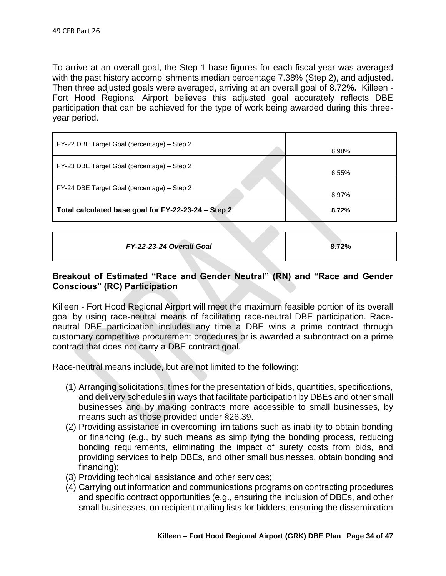To arrive at an overall goal, the Step 1 base figures for each fiscal year was averaged with the past history accomplishments median percentage 7.38% (Step 2), and adjusted. Then three adjusted goals were averaged, arriving at an overall goal of 8.72**%.** Killeen - Fort Hood Regional Airport believes this adjusted goal accurately reflects DBE participation that can be achieved for the type of work being awarded during this threeyear period.

| FY-22 DBE Target Goal (percentage) – Step 2         | 8.98% |
|-----------------------------------------------------|-------|
| FY-23 DBE Target Goal (percentage) – Step 2         | 6.55% |
| FY-24 DBE Target Goal (percentage) - Step 2         | 8.97% |
| Total calculated base goal for FY-22-23-24 - Step 2 | 8.72% |
|                                                     |       |

| FY-22-23-24 Overall Goal | 8.72% |
|--------------------------|-------|
|--------------------------|-------|

## **Breakout of Estimated "Race and Gender Neutral" (RN) and "Race and Gender Conscious" (RC) Participation**

Killeen - Fort Hood Regional Airport will meet the maximum feasible portion of its overall goal by using race-neutral means of facilitating race-neutral DBE participation. Raceneutral DBE participation includes any time a DBE wins a prime contract through customary competitive procurement procedures or is awarded a subcontract on a prime contract that does not carry a DBE contract goal.

Race-neutral means include, but are not limited to the following:

- (1) Arranging solicitations, times for the presentation of bids, quantities, specifications, and delivery schedules in ways that facilitate participation by DBEs and other small businesses and by making contracts more accessible to small businesses, by means such as those provided under §26.39.
- (2) Providing assistance in overcoming limitations such as inability to obtain bonding or financing (e.g., by such means as simplifying the bonding process, reducing bonding requirements, eliminating the impact of surety costs from bids, and providing services to help DBEs, and other small businesses, obtain bonding and financing);
- (3) Providing technical assistance and other services;
- (4) Carrying out information and communications programs on contracting procedures and specific contract opportunities (e.g., ensuring the inclusion of DBEs, and other small businesses, on recipient mailing lists for bidders; ensuring the dissemination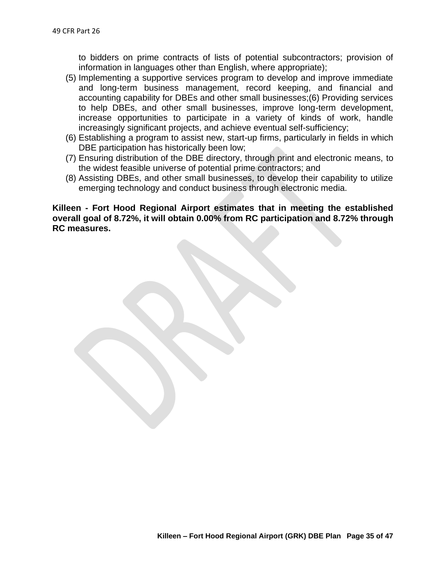to bidders on prime contracts of lists of potential subcontractors; provision of information in languages other than English, where appropriate);

- (5) Implementing a supportive services program to develop and improve immediate and long-term business management, record keeping, and financial and accounting capability for DBEs and other small businesses;(6) Providing services to help DBEs, and other small businesses, improve long-term development, increase opportunities to participate in a variety of kinds of work, handle increasingly significant projects, and achieve eventual self-sufficiency;
- (6) Establishing a program to assist new, start-up firms, particularly in fields in which DBE participation has historically been low;
- (7) Ensuring distribution of the DBE directory, through print and electronic means, to the widest feasible universe of potential prime contractors; and
- (8) Assisting DBEs, and other small businesses, to develop their capability to utilize emerging technology and conduct business through electronic media.

**Killeen - Fort Hood Regional Airport estimates that in meeting the established overall goal of 8.72%, it will obtain 0.00% from RC participation and 8.72% through RC measures.**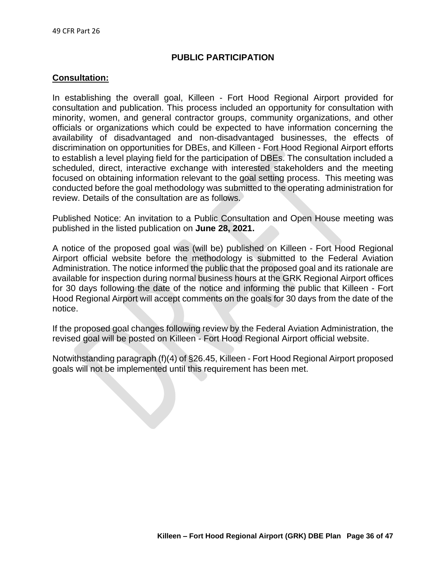## **PUBLIC PARTICIPATION**

## **Consultation:**

In establishing the overall goal, Killeen - Fort Hood Regional Airport provided for consultation and publication. This process included an opportunity for consultation with minority, women, and general contractor groups, community organizations, and other officials or organizations which could be expected to have information concerning the availability of disadvantaged and non-disadvantaged businesses, the effects of discrimination on opportunities for DBEs, and Killeen - Fort Hood Regional Airport efforts to establish a level playing field for the participation of DBEs. The consultation included a scheduled, direct, interactive exchange with interested stakeholders and the meeting focused on obtaining information relevant to the goal setting process. This meeting was conducted before the goal methodology was submitted to the operating administration for review. Details of the consultation are as follows.

Published Notice: An invitation to a Public Consultation and Open House meeting was published in the listed publication on **June 28, 2021.**

A notice of the proposed goal was (will be) published on Killeen - Fort Hood Regional Airport official website before the methodology is submitted to the Federal Aviation Administration. The notice informed the public that the proposed goal and its rationale are available for inspection during normal business hours at the GRK Regional Airport offices for 30 days following the date of the notice and informing the public that Killeen - Fort Hood Regional Airport will accept comments on the goals for 30 days from the date of the notice.

If the proposed goal changes following review by the Federal Aviation Administration, the revised goal will be posted on Killeen - Fort Hood Regional Airport official website.

Notwithstanding paragraph (f)(4) of §26.45, Killeen - Fort Hood Regional Airport proposed goals will not be implemented until this requirement has been met.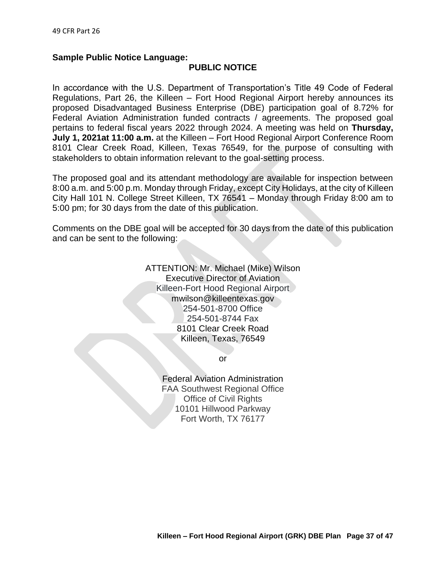## **Sample Public Notice Language:**

### **PUBLIC NOTICE**

In accordance with the U.S. Department of Transportation's Title 49 Code of Federal Regulations, Part 26, the Killeen – Fort Hood Regional Airport hereby announces its proposed Disadvantaged Business Enterprise (DBE) participation goal of 8.72% for Federal Aviation Administration funded contracts / agreements. The proposed goal pertains to federal fiscal years 2022 through 2024. A meeting was held on **Thursday, July 1, 2021at 11:00 a.m.** at the Killeen – Fort Hood Regional Airport Conference Room 8101 Clear Creek Road, Killeen, Texas 76549, for the purpose of consulting with stakeholders to obtain information relevant to the goal-setting process.

The proposed goal and its attendant methodology are available for inspection between 8:00 a.m. and 5:00 p.m. Monday through Friday, except City Holidays, at the city of Killeen City Hall 101 N. College Street Killeen, TX 76541 – Monday through Friday 8:00 am to 5:00 pm; for 30 days from the date of this publication.

Comments on the DBE goal will be accepted for 30 days from the date of this publication and can be sent to the following:

> ATTENTION: Mr. Michael (Mike) Wilson Executive Director of Aviation Killeen-Fort Hood Regional Airport mwilson@killeentexas.gov 254-501-8700 Office 254-501-8744 Fax 8101 Clear Creek Road Killeen, Texas, 76549

> > or

Federal Aviation Administration FAA Southwest Regional Office Office of Civil Rights 10101 Hillwood Parkway Fort Worth, TX 76177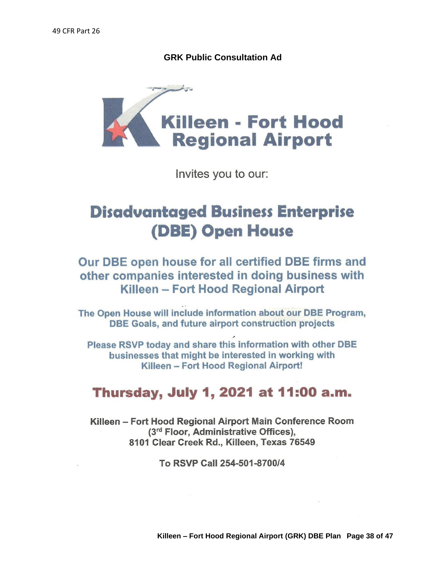**GRK Public Consultation Ad**



Invites you to our:

# **Disadvantaged Business Enterprise (DBE) Open House**

Our DBE open house for all certified DBE firms and other companies interested in doing business with Killeen - Fort Hood Regional Airport

The Open House will include information about our DBE Program, DBE Goals, and future airport construction projects

Please RSVP today and share this information with other DBE businesses that might be interested in working with Killeen - Fort Hood Regional Airport!

## Thursday, July 1, 2021 at 11:00 a.m.

Killeen – Fort Hood Regional Airport Main Conference Room (3rd Floor, Administrative Offices), 8101 Clear Creek Rd., Killeen, Texas 76549

To RSVP Call 254-501-8700/4

**Killeen – Fort Hood Regional Airport (GRK) DBE Plan Page 38 of 47**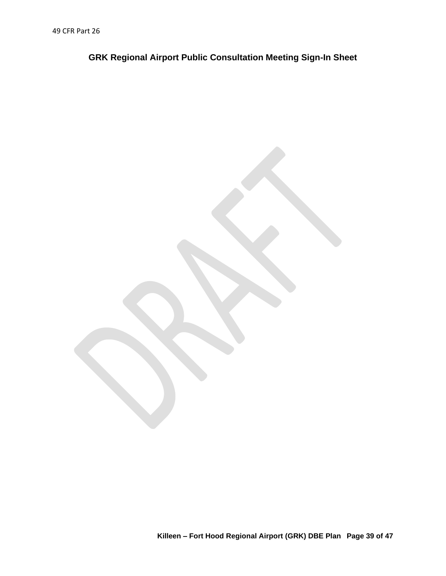**GRK Regional Airport Public Consultation Meeting Sign-In Sheet**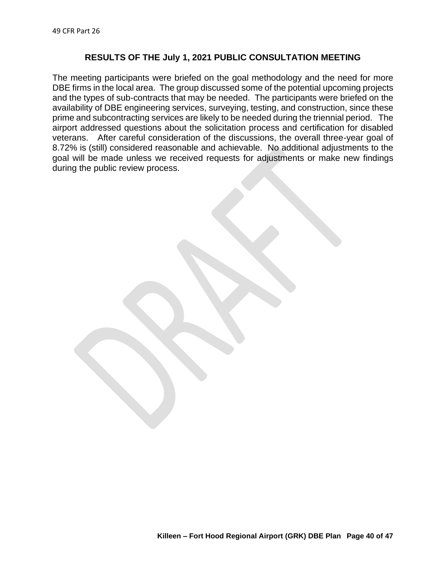#### **RESULTS OF THE July 1, 2021 PUBLIC CONSULTATION MEETING**

The meeting participants were briefed on the goal methodology and the need for more DBE firms in the local area. The group discussed some of the potential upcoming projects and the types of sub-contracts that may be needed. The participants were briefed on the availability of DBE engineering services, surveying, testing, and construction, since these prime and subcontracting services are likely to be needed during the triennial period. The airport addressed questions about the solicitation process and certification for disabled veterans. After careful consideration of the discussions, the overall three-year goal of 8.72% is (still) considered reasonable and achievable. No additional adjustments to the goal will be made unless we received requests for adjustments or make new findings during the public review process.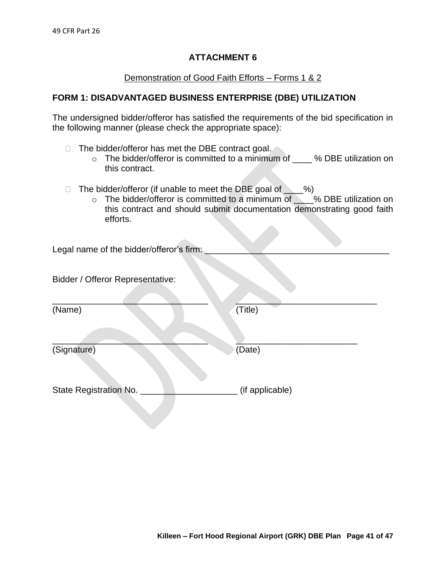## Demonstration of Good Faith Efforts – Forms 1 & 2

## **FORM 1: DISADVANTAGED BUSINESS ENTERPRISE (DBE) UTILIZATION**

The undersigned bidder/offeror has satisfied the requirements of the bid specification in the following manner (please check the appropriate space):

- $\Box$  The bidder/offeror has met the DBE contract goal.
	- $\circ$  The bidder/offeror is committed to a minimum of  $\bullet$  % DBE utilization on this contract.
- $\Box$  The bidder/offeror (if unable to meet the DBE goal of  $\%$ )
	- o The bidder/offeror is committed to a minimum of \_\_\_% DBE utilization on this contract and should submit documentation demonstrating good faith efforts.

Legal name of the bidder/offeror's firm:

Bidder / Offeror Representative:

 $\blacksquare$ (Name) (Title)

(Signature) (Date)

State Registration No. **We are all the Contract Contract Contract Contract Contract Contract Contract Contract Contract Contract Contract Contract Contract Contract Contract Contract Contract Contract Contract Contract Con** 

 $\overline{\phantom{a}}$  , and the contract of the contract of the contract of the contract of the contract of the contract of the contract of the contract of the contract of the contract of the contract of the contract of the contrac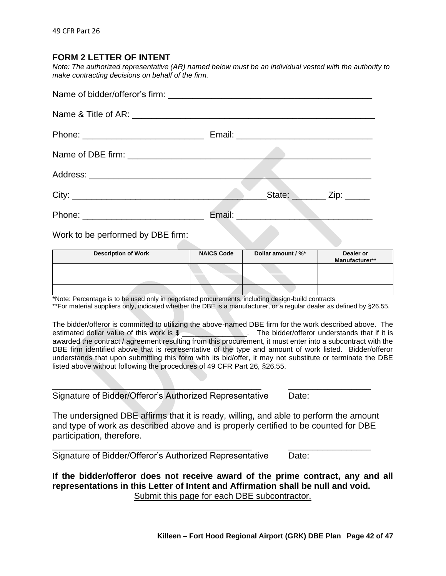## **FORM 2 LETTER OF INTENT**

*Note: The authorized representative (AR) named below must be an individual vested with the authority to make contracting decisions on behalf of the firm.* 

| State: <u>Zip:</u> |
|--------------------|
|                    |

Work to be performed by DBE firm:

| <b>Description of Work</b> | <b>NAICS Code</b> | Dollar amount / %* | Dealer or<br>Manufacturer** |
|----------------------------|-------------------|--------------------|-----------------------------|
|                            |                   |                    |                             |
|                            |                   |                    |                             |
|                            |                   |                    |                             |

\*Note: Percentage is to be used only in negotiated procurements, including design-build contracts

\*\*For material suppliers only, indicated whether the DBE is a manufacturer, or a regular dealer as defined by §26.55.

The bidder/offeror is committed to utilizing the above-named DBE firm for the work described above. The estimated dollar value of this work is \$  $\sim$  The bidder/offeror understands that if it is awarded the contract / agreement resulting from this procurement, it must enter into a subcontract with the DBE firm identified above that is representative of the type and amount of work listed. Bidder/offeror understands that upon submitting this form with its bid/offer, it may not substitute or terminate the DBE listed above without following the procedures of 49 CFR Part 26, §26.55.

Signature of Bidder/Offeror's Authorized Representative Date:

The undersigned DBE affirms that it is ready, willing, and able to perform the amount and type of work as described above and is properly certified to be counted for DBE participation, therefore.

\_\_\_\_\_\_\_\_\_\_\_\_\_\_\_\_\_\_\_\_\_\_\_\_\_\_\_\_\_\_\_\_\_\_\_\_\_\_\_\_\_\_\_ \_\_\_\_\_\_\_\_\_\_\_\_\_\_\_\_\_

\_\_\_\_\_\_\_\_\_\_\_\_\_\_\_\_\_\_\_\_\_\_\_\_\_\_\_\_\_\_\_\_\_\_\_\_\_\_\_\_\_ \_\_\_\_\_\_\_\_\_\_\_\_\_\_\_\_\_ Signature of Bidder/Offeror's Authorized Representative Date:

**If the bidder/offeror does not receive award of the prime contract, any and all representations in this Letter of Intent and Affirmation shall be null and void.**  Submit this page for each DBE subcontractor.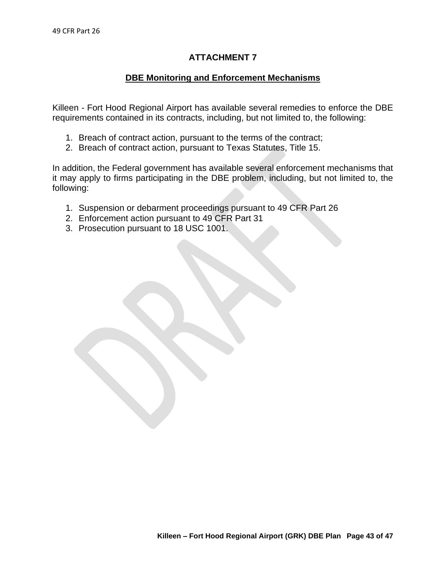## **DBE Monitoring and Enforcement Mechanisms**

Killeen - Fort Hood Regional Airport has available several remedies to enforce the DBE requirements contained in its contracts, including, but not limited to, the following:

- 1. Breach of contract action, pursuant to the terms of the contract;
- 2. Breach of contract action, pursuant to Texas Statutes, Title 15.

In addition, the Federal government has available several enforcement mechanisms that it may apply to firms participating in the DBE problem, including, but not limited to, the following:

- 1. Suspension or debarment proceedings pursuant to 49 CFR Part 26
- 2. Enforcement action pursuant to 49 CFR Part 31
- 3. Prosecution pursuant to 18 USC 1001.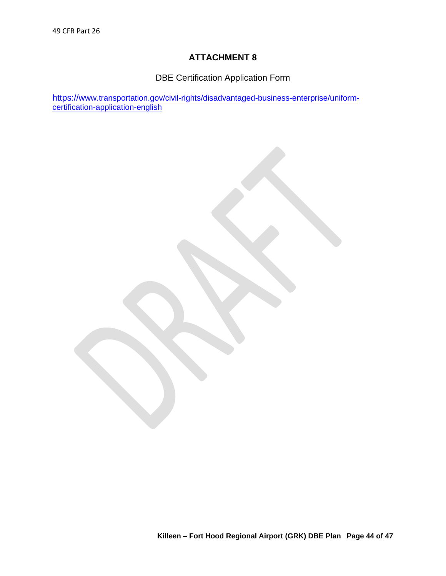DBE Certification Application Form

https://w[ww.transportation.gov/civil-rights/disadvantaged-business-enterprise/uniform](https://www.transportation.gov/civil-rights/disadvantaged-business-enterprise/uniform-certification-application-english)[certification-application-english](https://www.transportation.gov/civil-rights/disadvantaged-business-enterprise/uniform-certification-application-english)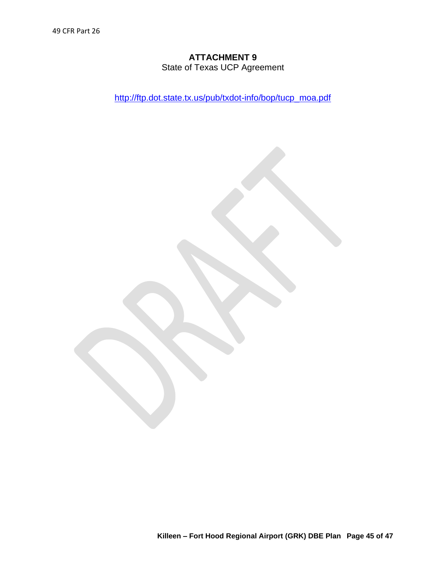State of Texas UCP Agreement

[http://ftp.dot.state.tx.us/pub/txdot-info/bop/tucp\\_moa.pdf](http://ftp.dot.state.tx.us/pub/txdot-info/bop/tucp_moa.pdf)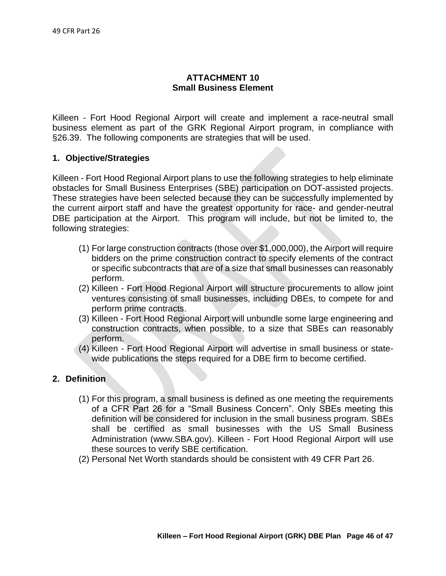## **ATTACHMENT 10 Small Business Element**

Killeen - Fort Hood Regional Airport will create and implement a race-neutral small business element as part of the GRK Regional Airport program, in compliance with §26.39. The following components are strategies that will be used.

### **1. Objective/Strategies**

Killeen - Fort Hood Regional Airport plans to use the following strategies to help eliminate obstacles for Small Business Enterprises (SBE) participation on DOT-assisted projects. These strategies have been selected because they can be successfully implemented by the current airport staff and have the greatest opportunity for race- and gender-neutral DBE participation at the Airport. This program will include, but not be limited to, the following strategies:

- (1) For large construction contracts (those over \$1,000,000), the Airport will require bidders on the prime construction contract to specify elements of the contract or specific subcontracts that are of a size that small businesses can reasonably perform.
- (2) Killeen Fort Hood Regional Airport will structure procurements to allow joint ventures consisting of small businesses, including DBEs, to compete for and perform prime contracts.
- (3) Killeen Fort Hood Regional Airport will unbundle some large engineering and construction contracts, when possible, to a size that SBEs can reasonably perform.
- (4) Killeen Fort Hood Regional Airport will advertise in small business or statewide publications the steps required for a DBE firm to become certified.

### **2. Definition**

- (1) For this program, a small business is defined as one meeting the requirements of a CFR Part 26 for a "Small Business Concern". Only SBEs meeting this definition will be considered for inclusion in the small business program. SBEs shall be certified as small businesses with the US Small Business Administration (www.SBA.gov). Killeen - Fort Hood Regional Airport will use these sources to verify SBE certification.
- (2) Personal Net Worth standards should be consistent with 49 CFR Part 26.